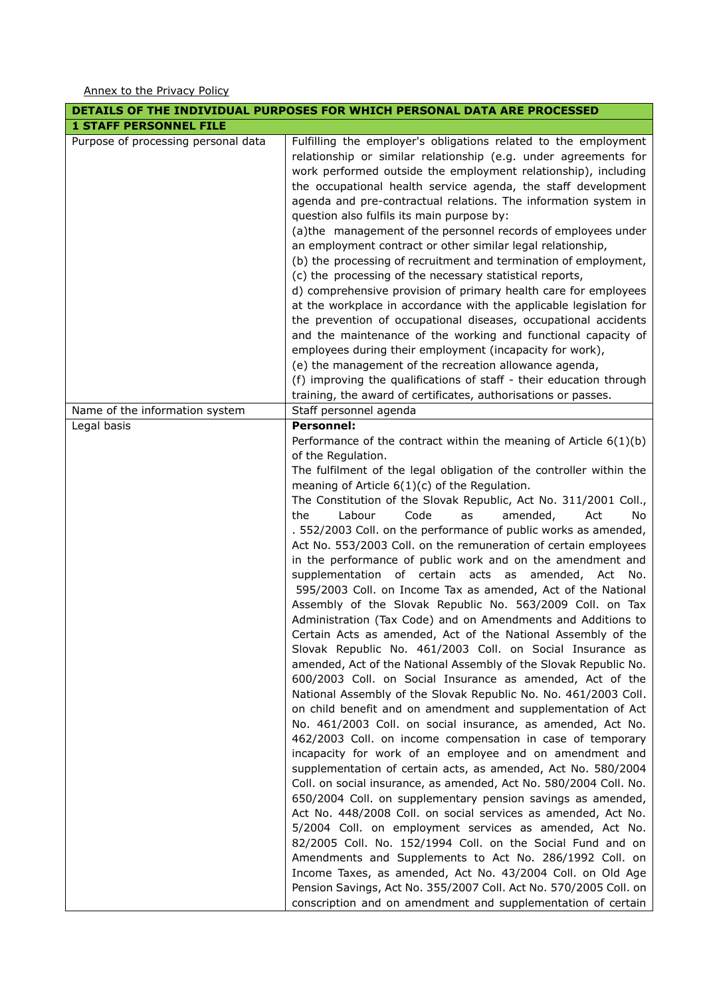Annex to the Privacy Policy

| DETAILS OF THE INDIVIDUAL PURPOSES FOR WHICH PERSONAL DATA ARE PROCESSED |                                                                                                                                                                                                                                                                                                                                                                                                                                                                                                                                                                                                                                                                                                                                                                                                                                                                                                                                                                                                                                                                                                                                                                                                                                                                                                                                                                                                                                                                                                                                                                                                                                                                                                                                                                                                                                                                                                                                                                                                                                                                   |  |
|--------------------------------------------------------------------------|-------------------------------------------------------------------------------------------------------------------------------------------------------------------------------------------------------------------------------------------------------------------------------------------------------------------------------------------------------------------------------------------------------------------------------------------------------------------------------------------------------------------------------------------------------------------------------------------------------------------------------------------------------------------------------------------------------------------------------------------------------------------------------------------------------------------------------------------------------------------------------------------------------------------------------------------------------------------------------------------------------------------------------------------------------------------------------------------------------------------------------------------------------------------------------------------------------------------------------------------------------------------------------------------------------------------------------------------------------------------------------------------------------------------------------------------------------------------------------------------------------------------------------------------------------------------------------------------------------------------------------------------------------------------------------------------------------------------------------------------------------------------------------------------------------------------------------------------------------------------------------------------------------------------------------------------------------------------------------------------------------------------------------------------------------------------|--|
| <b>1 STAFF PERSONNEL FILE</b>                                            |                                                                                                                                                                                                                                                                                                                                                                                                                                                                                                                                                                                                                                                                                                                                                                                                                                                                                                                                                                                                                                                                                                                                                                                                                                                                                                                                                                                                                                                                                                                                                                                                                                                                                                                                                                                                                                                                                                                                                                                                                                                                   |  |
| Purpose of processing personal data                                      | Fulfilling the employer's obligations related to the employment<br>relationship or similar relationship (e.g. under agreements for<br>work performed outside the employment relationship), including<br>the occupational health service agenda, the staff development<br>agenda and pre-contractual relations. The information system in<br>question also fulfils its main purpose by:<br>(a) the management of the personnel records of employees under<br>an employment contract or other similar legal relationship,<br>(b) the processing of recruitment and termination of employment,<br>(c) the processing of the necessary statistical reports,<br>d) comprehensive provision of primary health care for employees<br>at the workplace in accordance with the applicable legislation for<br>the prevention of occupational diseases, occupational accidents<br>and the maintenance of the working and functional capacity of<br>employees during their employment (incapacity for work),                                                                                                                                                                                                                                                                                                                                                                                                                                                                                                                                                                                                                                                                                                                                                                                                                                                                                                                                                                                                                                                                  |  |
|                                                                          | (e) the management of the recreation allowance agenda,                                                                                                                                                                                                                                                                                                                                                                                                                                                                                                                                                                                                                                                                                                                                                                                                                                                                                                                                                                                                                                                                                                                                                                                                                                                                                                                                                                                                                                                                                                                                                                                                                                                                                                                                                                                                                                                                                                                                                                                                            |  |
|                                                                          | (f) improving the qualifications of staff - their education through                                                                                                                                                                                                                                                                                                                                                                                                                                                                                                                                                                                                                                                                                                                                                                                                                                                                                                                                                                                                                                                                                                                                                                                                                                                                                                                                                                                                                                                                                                                                                                                                                                                                                                                                                                                                                                                                                                                                                                                               |  |
|                                                                          | training, the award of certificates, authorisations or passes.                                                                                                                                                                                                                                                                                                                                                                                                                                                                                                                                                                                                                                                                                                                                                                                                                                                                                                                                                                                                                                                                                                                                                                                                                                                                                                                                                                                                                                                                                                                                                                                                                                                                                                                                                                                                                                                                                                                                                                                                    |  |
| Name of the information system                                           | Staff personnel agenda                                                                                                                                                                                                                                                                                                                                                                                                                                                                                                                                                                                                                                                                                                                                                                                                                                                                                                                                                                                                                                                                                                                                                                                                                                                                                                                                                                                                                                                                                                                                                                                                                                                                                                                                                                                                                                                                                                                                                                                                                                            |  |
| Legal basis                                                              | <b>Personnel:</b>                                                                                                                                                                                                                                                                                                                                                                                                                                                                                                                                                                                                                                                                                                                                                                                                                                                                                                                                                                                                                                                                                                                                                                                                                                                                                                                                                                                                                                                                                                                                                                                                                                                                                                                                                                                                                                                                                                                                                                                                                                                 |  |
|                                                                          | Performance of the contract within the meaning of Article $6(1)(b)$<br>of the Regulation.<br>The fulfilment of the legal obligation of the controller within the<br>meaning of Article $6(1)(c)$ of the Regulation.<br>The Constitution of the Slovak Republic, Act No. 311/2001 Coll.,<br>Labour<br>Code<br>amended,<br>the<br>as<br>Act<br>No.<br>. 552/2003 Coll. on the performance of public works as amended,<br>Act No. 553/2003 Coll. on the remuneration of certain employees<br>in the performance of public work and on the amendment and<br>supplementation of certain acts as amended, Act<br>No.<br>595/2003 Coll. on Income Tax as amended, Act of the National<br>Assembly of the Slovak Republic No. 563/2009 Coll. on Tax<br>Administration (Tax Code) and on Amendments and Additions to<br>Certain Acts as amended, Act of the National Assembly of the<br>Slovak Republic No. 461/2003 Coll. on Social Insurance as<br>amended, Act of the National Assembly of the Slovak Republic No.<br>600/2003 Coll. on Social Insurance as amended, Act of the<br>National Assembly of the Slovak Republic No. No. 461/2003 Coll.<br>on child benefit and on amendment and supplementation of Act<br>No. 461/2003 Coll. on social insurance, as amended, Act No.<br>462/2003 Coll. on income compensation in case of temporary<br>incapacity for work of an employee and on amendment and<br>supplementation of certain acts, as amended, Act No. 580/2004<br>Coll. on social insurance, as amended, Act No. 580/2004 Coll. No.<br>650/2004 Coll. on supplementary pension savings as amended,<br>Act No. 448/2008 Coll. on social services as amended, Act No.<br>5/2004 Coll. on employment services as amended, Act No.<br>82/2005 Coll. No. 152/1994 Coll. on the Social Fund and on<br>Amendments and Supplements to Act No. 286/1992 Coll. on<br>Income Taxes, as amended, Act No. 43/2004 Coll. on Old Age<br>Pension Savings, Act No. 355/2007 Coll. Act No. 570/2005 Coll. on<br>conscription and on amendment and supplementation of certain |  |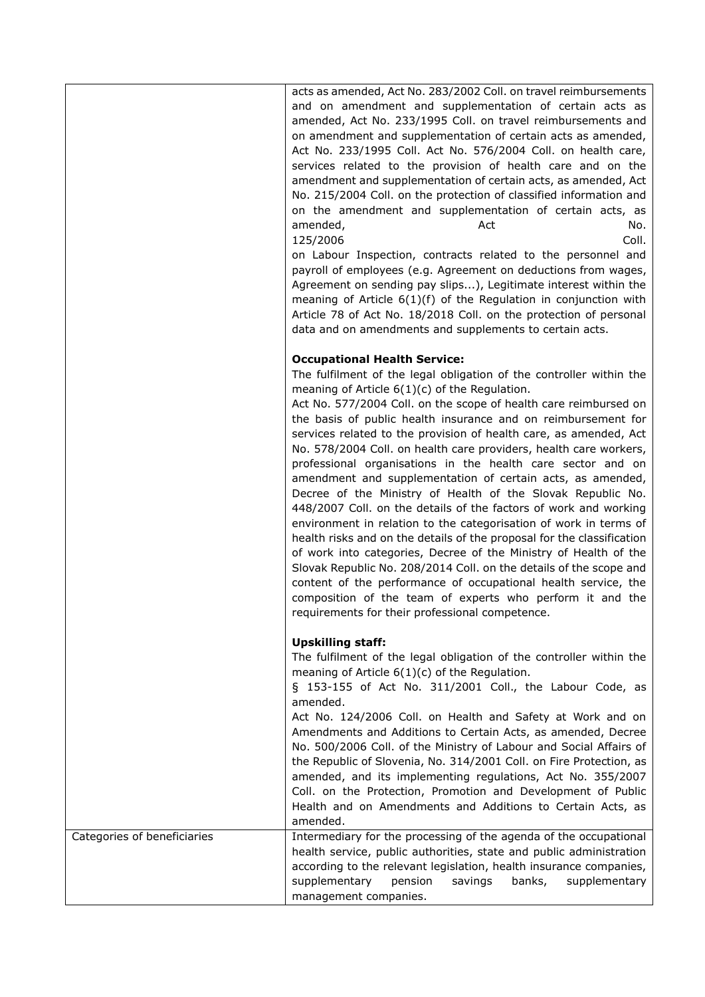|                             | acts as amended, Act No. 283/2002 Coll. on travel reimbursements<br>and on amendment and supplementation of certain acts as<br>amended, Act No. 233/1995 Coll. on travel reimbursements and<br>on amendment and supplementation of certain acts as amended,<br>Act No. 233/1995 Coll. Act No. 576/2004 Coll. on health care,<br>services related to the provision of health care and on the<br>amendment and supplementation of certain acts, as amended, Act<br>No. 215/2004 Coll. on the protection of classified information and<br>on the amendment and supplementation of certain acts, as<br>amended,<br>Act<br>No.<br>125/2006<br>Coll.<br>on Labour Inspection, contracts related to the personnel and<br>payroll of employees (e.g. Agreement on deductions from wages,<br>Agreement on sending pay slips), Legitimate interest within the<br>meaning of Article $6(1)(f)$ of the Regulation in conjunction with<br>Article 78 of Act No. 18/2018 Coll. on the protection of personal<br>data and on amendments and supplements to certain acts.                                                                                                                               |
|-----------------------------|-----------------------------------------------------------------------------------------------------------------------------------------------------------------------------------------------------------------------------------------------------------------------------------------------------------------------------------------------------------------------------------------------------------------------------------------------------------------------------------------------------------------------------------------------------------------------------------------------------------------------------------------------------------------------------------------------------------------------------------------------------------------------------------------------------------------------------------------------------------------------------------------------------------------------------------------------------------------------------------------------------------------------------------------------------------------------------------------------------------------------------------------------------------------------------------------|
|                             | <b>Occupational Health Service:</b><br>The fulfilment of the legal obligation of the controller within the<br>meaning of Article $6(1)(c)$ of the Regulation.<br>Act No. 577/2004 Coll. on the scope of health care reimbursed on<br>the basis of public health insurance and on reimbursement for<br>services related to the provision of health care, as amended, Act<br>No. 578/2004 Coll. on health care providers, health care workers,<br>professional organisations in the health care sector and on<br>amendment and supplementation of certain acts, as amended,<br>Decree of the Ministry of Health of the Slovak Republic No.<br>448/2007 Coll. on the details of the factors of work and working<br>environment in relation to the categorisation of work in terms of<br>health risks and on the details of the proposal for the classification<br>of work into categories, Decree of the Ministry of Health of the<br>Slovak Republic No. 208/2014 Coll. on the details of the scope and<br>content of the performance of occupational health service, the<br>composition of the team of experts who perform it and the<br>requirements for their professional competence. |
|                             | <b>Upskilling staff:</b><br>The fulfilment of the legal obligation of the controller within the<br>meaning of Article $6(1)(c)$ of the Regulation.<br>§ 153-155 of Act No. 311/2001 Coll., the Labour Code, as<br>amended.<br>Act No. 124/2006 Coll. on Health and Safety at Work and on<br>Amendments and Additions to Certain Acts, as amended, Decree<br>No. 500/2006 Coll. of the Ministry of Labour and Social Affairs of<br>the Republic of Slovenia, No. 314/2001 Coll. on Fire Protection, as<br>amended, and its implementing regulations, Act No. 355/2007<br>Coll. on the Protection, Promotion and Development of Public<br>Health and on Amendments and Additions to Certain Acts, as<br>amended.                                                                                                                                                                                                                                                                                                                                                                                                                                                                          |
| Categories of beneficiaries | Intermediary for the processing of the agenda of the occupational<br>health service, public authorities, state and public administration<br>according to the relevant legislation, health insurance companies,<br>supplementary<br>pension<br>banks,<br>supplementary<br>savings<br>management companies.                                                                                                                                                                                                                                                                                                                                                                                                                                                                                                                                                                                                                                                                                                                                                                                                                                                                               |

 $\overline{\phantom{a}}$ 

 $\mathbf{r}$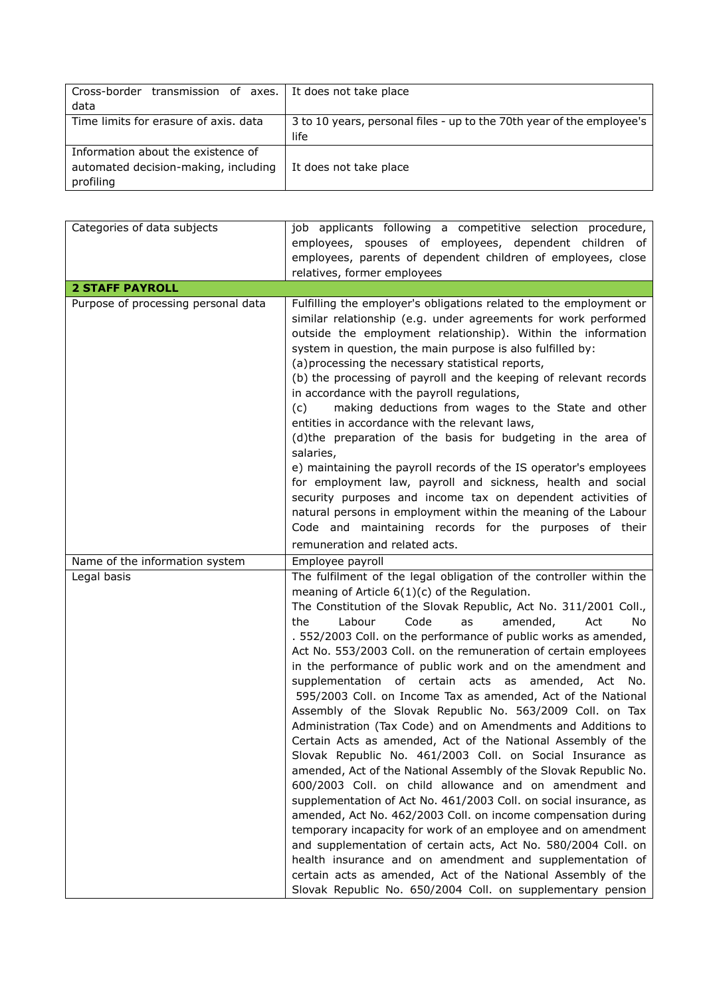| Cross-border transmission of axes. It does not take place                               |                                                                               |
|-----------------------------------------------------------------------------------------|-------------------------------------------------------------------------------|
| data                                                                                    |                                                                               |
| Time limits for erasure of axis, data                                                   | 3 to 10 years, personal files - up to the 70th year of the employee's<br>life |
| Information about the existence of<br>automated decision-making, including<br>profiling | It does not take place                                                        |

| Categories of data subjects         | job applicants following a competitive selection procedure,                                                                                                                                                                                                                                                                                                                                                                                                                                                                                                                                                                                                                                                                                                                                                                                                                                                                                                                                                                                                                                                                                                                                                                                                                                                                                                                                                                               |
|-------------------------------------|-------------------------------------------------------------------------------------------------------------------------------------------------------------------------------------------------------------------------------------------------------------------------------------------------------------------------------------------------------------------------------------------------------------------------------------------------------------------------------------------------------------------------------------------------------------------------------------------------------------------------------------------------------------------------------------------------------------------------------------------------------------------------------------------------------------------------------------------------------------------------------------------------------------------------------------------------------------------------------------------------------------------------------------------------------------------------------------------------------------------------------------------------------------------------------------------------------------------------------------------------------------------------------------------------------------------------------------------------------------------------------------------------------------------------------------------|
|                                     | employees, spouses of employees, dependent children of                                                                                                                                                                                                                                                                                                                                                                                                                                                                                                                                                                                                                                                                                                                                                                                                                                                                                                                                                                                                                                                                                                                                                                                                                                                                                                                                                                                    |
|                                     | employees, parents of dependent children of employees, close                                                                                                                                                                                                                                                                                                                                                                                                                                                                                                                                                                                                                                                                                                                                                                                                                                                                                                                                                                                                                                                                                                                                                                                                                                                                                                                                                                              |
|                                     | relatives, former employees                                                                                                                                                                                                                                                                                                                                                                                                                                                                                                                                                                                                                                                                                                                                                                                                                                                                                                                                                                                                                                                                                                                                                                                                                                                                                                                                                                                                               |
| <b>2 STAFF PAYROLL</b>              |                                                                                                                                                                                                                                                                                                                                                                                                                                                                                                                                                                                                                                                                                                                                                                                                                                                                                                                                                                                                                                                                                                                                                                                                                                                                                                                                                                                                                                           |
| Purpose of processing personal data | Fulfilling the employer's obligations related to the employment or<br>similar relationship (e.g. under agreements for work performed<br>outside the employment relationship). Within the information<br>system in question, the main purpose is also fulfilled by:<br>(a) processing the necessary statistical reports,<br>(b) the processing of payroll and the keeping of relevant records<br>in accordance with the payroll regulations,<br>making deductions from wages to the State and other<br>(c)<br>entities in accordance with the relevant laws,<br>(d)the preparation of the basis for budgeting in the area of<br>salaries,                                                                                                                                                                                                                                                                                                                                                                                                                                                                                                                                                                                                                                                                                                                                                                                                  |
|                                     | e) maintaining the payroll records of the IS operator's employees<br>for employment law, payroll and sickness, health and social<br>security purposes and income tax on dependent activities of<br>natural persons in employment within the meaning of the Labour<br>Code and maintaining records for the purposes of their<br>remuneration and related acts.                                                                                                                                                                                                                                                                                                                                                                                                                                                                                                                                                                                                                                                                                                                                                                                                                                                                                                                                                                                                                                                                             |
| Name of the information system      | Employee payroll                                                                                                                                                                                                                                                                                                                                                                                                                                                                                                                                                                                                                                                                                                                                                                                                                                                                                                                                                                                                                                                                                                                                                                                                                                                                                                                                                                                                                          |
| Legal basis                         | The fulfilment of the legal obligation of the controller within the<br>meaning of Article $6(1)(c)$ of the Regulation.<br>The Constitution of the Slovak Republic, Act No. 311/2001 Coll.,<br>Labour<br>Code<br>the<br>as<br>amended,<br>Act<br>No<br>. 552/2003 Coll. on the performance of public works as amended,<br>Act No. 553/2003 Coll. on the remuneration of certain employees<br>in the performance of public work and on the amendment and<br>supplementation of certain acts as amended, Act No.<br>595/2003 Coll. on Income Tax as amended, Act of the National<br>Assembly of the Slovak Republic No. 563/2009 Coll. on Tax<br>Administration (Tax Code) and on Amendments and Additions to<br>Certain Acts as amended, Act of the National Assembly of the<br>Slovak Republic No. 461/2003 Coll. on Social Insurance as<br>amended, Act of the National Assembly of the Slovak Republic No.<br>600/2003 Coll. on child allowance and on amendment and<br>supplementation of Act No. 461/2003 Coll. on social insurance, as<br>amended, Act No. 462/2003 Coll. on income compensation during<br>temporary incapacity for work of an employee and on amendment<br>and supplementation of certain acts, Act No. 580/2004 Coll. on<br>health insurance and on amendment and supplementation of<br>certain acts as amended, Act of the National Assembly of the<br>Slovak Republic No. 650/2004 Coll. on supplementary pension |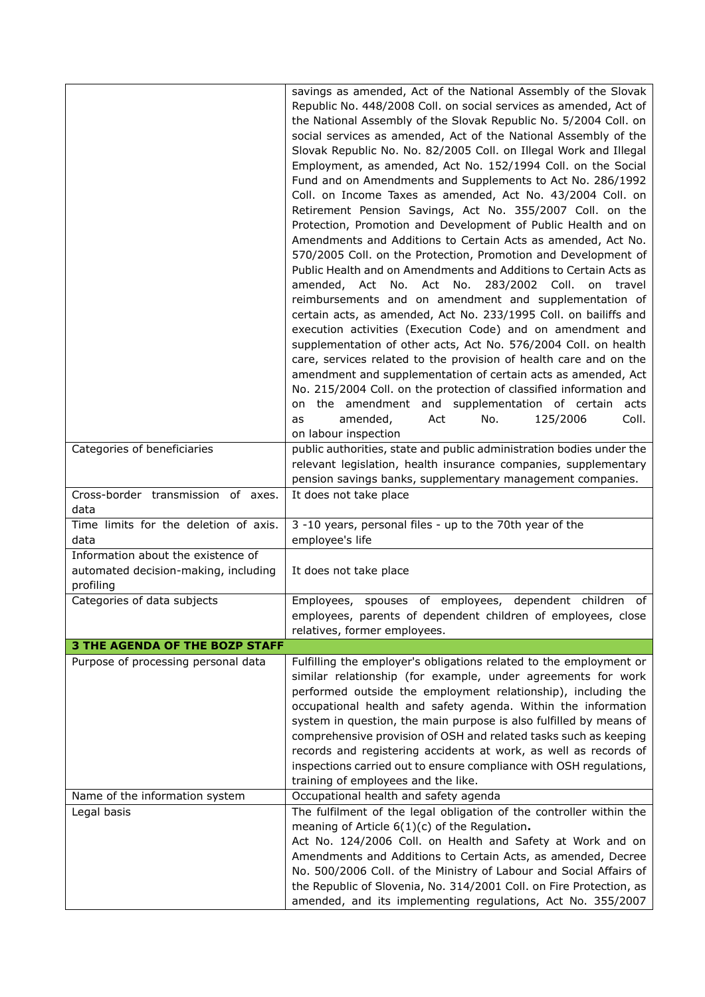|                                                                                         | savings as amended, Act of the National Assembly of the Slovak<br>Republic No. 448/2008 Coll. on social services as amended, Act of<br>the National Assembly of the Slovak Republic No. 5/2004 Coll. on<br>social services as amended, Act of the National Assembly of the<br>Slovak Republic No. No. 82/2005 Coll. on Illegal Work and Illegal<br>Employment, as amended, Act No. 152/1994 Coll. on the Social<br>Fund and on Amendments and Supplements to Act No. 286/1992<br>Coll. on Income Taxes as amended, Act No. 43/2004 Coll. on<br>Retirement Pension Savings, Act No. 355/2007 Coll. on the<br>Protection, Promotion and Development of Public Health and on<br>Amendments and Additions to Certain Acts as amended, Act No.<br>570/2005 Coll. on the Protection, Promotion and Development of<br>Public Health and on Amendments and Additions to Certain Acts as<br>amended, Act No. Act No. 283/2002 Coll. on travel<br>reimbursements and on amendment and supplementation of<br>certain acts, as amended, Act No. 233/1995 Coll. on bailiffs and<br>execution activities (Execution Code) and on amendment and<br>supplementation of other acts, Act No. 576/2004 Coll. on health<br>care, services related to the provision of health care and on the<br>amendment and supplementation of certain acts as amended, Act<br>No. 215/2004 Coll. on the protection of classified information and<br>on the amendment and supplementation of certain<br>acts<br>Coll.<br>amended,<br>Act<br>No.<br>125/2006<br>as |
|-----------------------------------------------------------------------------------------|---------------------------------------------------------------------------------------------------------------------------------------------------------------------------------------------------------------------------------------------------------------------------------------------------------------------------------------------------------------------------------------------------------------------------------------------------------------------------------------------------------------------------------------------------------------------------------------------------------------------------------------------------------------------------------------------------------------------------------------------------------------------------------------------------------------------------------------------------------------------------------------------------------------------------------------------------------------------------------------------------------------------------------------------------------------------------------------------------------------------------------------------------------------------------------------------------------------------------------------------------------------------------------------------------------------------------------------------------------------------------------------------------------------------------------------------------------------------------------------------------------------------------------|
| Categories of beneficiaries                                                             | on labour inspection<br>public authorities, state and public administration bodies under the                                                                                                                                                                                                                                                                                                                                                                                                                                                                                                                                                                                                                                                                                                                                                                                                                                                                                                                                                                                                                                                                                                                                                                                                                                                                                                                                                                                                                                    |
|                                                                                         | relevant legislation, health insurance companies, supplementary<br>pension savings banks, supplementary management companies.                                                                                                                                                                                                                                                                                                                                                                                                                                                                                                                                                                                                                                                                                                                                                                                                                                                                                                                                                                                                                                                                                                                                                                                                                                                                                                                                                                                                   |
| Cross-border transmission of axes.<br>data                                              | It does not take place                                                                                                                                                                                                                                                                                                                                                                                                                                                                                                                                                                                                                                                                                                                                                                                                                                                                                                                                                                                                                                                                                                                                                                                                                                                                                                                                                                                                                                                                                                          |
| Time limits for the deletion of axis.<br>data                                           | 3 -10 years, personal files - up to the 70th year of the<br>employee's life                                                                                                                                                                                                                                                                                                                                                                                                                                                                                                                                                                                                                                                                                                                                                                                                                                                                                                                                                                                                                                                                                                                                                                                                                                                                                                                                                                                                                                                     |
| Information about the existence of<br>automated decision-making, including<br>profiling | It does not take place                                                                                                                                                                                                                                                                                                                                                                                                                                                                                                                                                                                                                                                                                                                                                                                                                                                                                                                                                                                                                                                                                                                                                                                                                                                                                                                                                                                                                                                                                                          |
| Categories of data subjects                                                             | Employees, spouses of employees, dependent children<br>of                                                                                                                                                                                                                                                                                                                                                                                                                                                                                                                                                                                                                                                                                                                                                                                                                                                                                                                                                                                                                                                                                                                                                                                                                                                                                                                                                                                                                                                                       |
|                                                                                         | employees, parents of dependent children of employees, close<br>relatives, former employees.                                                                                                                                                                                                                                                                                                                                                                                                                                                                                                                                                                                                                                                                                                                                                                                                                                                                                                                                                                                                                                                                                                                                                                                                                                                                                                                                                                                                                                    |
| <b>3 THE AGENDA OF THE BOZP STAFF</b>                                                   |                                                                                                                                                                                                                                                                                                                                                                                                                                                                                                                                                                                                                                                                                                                                                                                                                                                                                                                                                                                                                                                                                                                                                                                                                                                                                                                                                                                                                                                                                                                                 |
| Purpose of processing personal data                                                     | Fulfilling the employer's obligations related to the employment or<br>similar relationship (for example, under agreements for work<br>performed outside the employment relationship), including the<br>occupational health and safety agenda. Within the information<br>system in question, the main purpose is also fulfilled by means of<br>comprehensive provision of OSH and related tasks such as keeping<br>records and registering accidents at work, as well as records of<br>inspections carried out to ensure compliance with OSH regulations,<br>training of employees and the like.                                                                                                                                                                                                                                                                                                                                                                                                                                                                                                                                                                                                                                                                                                                                                                                                                                                                                                                                 |
| Name of the information system                                                          | Occupational health and safety agenda                                                                                                                                                                                                                                                                                                                                                                                                                                                                                                                                                                                                                                                                                                                                                                                                                                                                                                                                                                                                                                                                                                                                                                                                                                                                                                                                                                                                                                                                                           |
| Legal basis                                                                             | The fulfilment of the legal obligation of the controller within the<br>meaning of Article $6(1)(c)$ of the Regulation.<br>Act No. 124/2006 Coll. on Health and Safety at Work and on<br>Amendments and Additions to Certain Acts, as amended, Decree<br>No. 500/2006 Coll. of the Ministry of Labour and Social Affairs of<br>the Republic of Slovenia, No. 314/2001 Coll. on Fire Protection, as<br>amended, and its implementing regulations, Act No. 355/2007                                                                                                                                                                                                                                                                                                                                                                                                                                                                                                                                                                                                                                                                                                                                                                                                                                                                                                                                                                                                                                                                |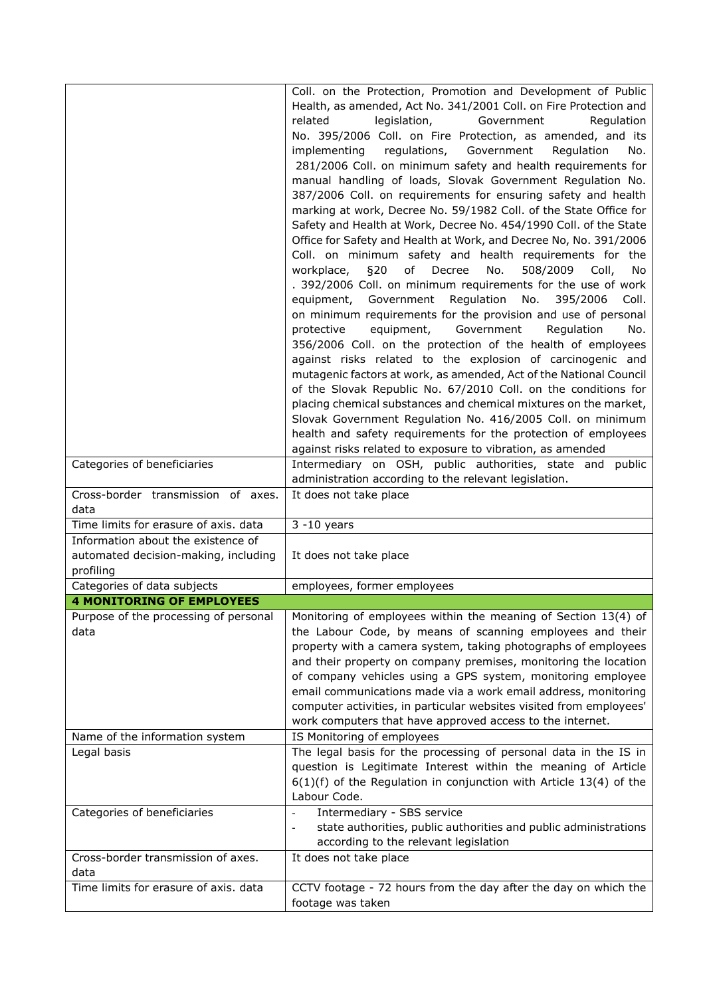|                                                                                         | Coll. on the Protection, Promotion and Development of Public<br>Health, as amended, Act No. 341/2001 Coll. on Fire Protection and<br>legislation,<br>Government<br>related<br>Regulation<br>No. 395/2006 Coll. on Fire Protection, as amended, and its<br>regulations,<br>Government<br>Regulation<br>implementing<br>No.<br>281/2006 Coll. on minimum safety and health requirements for<br>manual handling of loads, Slovak Government Regulation No.<br>387/2006 Coll. on requirements for ensuring safety and health<br>marking at work, Decree No. 59/1982 Coll. of the State Office for<br>Safety and Health at Work, Decree No. 454/1990 Coll. of the State<br>Office for Safety and Health at Work, and Decree No, No. 391/2006<br>Coll. on minimum safety and health requirements for the<br>of<br>workplace,<br>§20<br>Decree<br>No.<br>508/2009<br>Coll,<br><b>No</b><br>. 392/2006 Coll. on minimum requirements for the use of work<br>equipment, Government Regulation<br>No. 395/2006<br>Coll.<br>on minimum requirements for the provision and use of personal<br>equipment,<br>Government<br>Regulation<br>protective<br>No.<br>356/2006 Coll. on the protection of the health of employees<br>against risks related to the explosion of carcinogenic and<br>mutagenic factors at work, as amended, Act of the National Council<br>of the Slovak Republic No. 67/2010 Coll. on the conditions for<br>placing chemical substances and chemical mixtures on the market,<br>Slovak Government Regulation No. 416/2005 Coll. on minimum |
|-----------------------------------------------------------------------------------------|------------------------------------------------------------------------------------------------------------------------------------------------------------------------------------------------------------------------------------------------------------------------------------------------------------------------------------------------------------------------------------------------------------------------------------------------------------------------------------------------------------------------------------------------------------------------------------------------------------------------------------------------------------------------------------------------------------------------------------------------------------------------------------------------------------------------------------------------------------------------------------------------------------------------------------------------------------------------------------------------------------------------------------------------------------------------------------------------------------------------------------------------------------------------------------------------------------------------------------------------------------------------------------------------------------------------------------------------------------------------------------------------------------------------------------------------------------------------------------------------------------------------------------------------------|
|                                                                                         | health and safety requirements for the protection of employees                                                                                                                                                                                                                                                                                                                                                                                                                                                                                                                                                                                                                                                                                                                                                                                                                                                                                                                                                                                                                                                                                                                                                                                                                                                                                                                                                                                                                                                                                       |
| Categories of beneficiaries                                                             | against risks related to exposure to vibration, as amended<br>Intermediary on OSH, public authorities, state and public                                                                                                                                                                                                                                                                                                                                                                                                                                                                                                                                                                                                                                                                                                                                                                                                                                                                                                                                                                                                                                                                                                                                                                                                                                                                                                                                                                                                                              |
|                                                                                         | administration according to the relevant legislation.                                                                                                                                                                                                                                                                                                                                                                                                                                                                                                                                                                                                                                                                                                                                                                                                                                                                                                                                                                                                                                                                                                                                                                                                                                                                                                                                                                                                                                                                                                |
| Cross-border transmission of axes.<br>data                                              | It does not take place                                                                                                                                                                                                                                                                                                                                                                                                                                                                                                                                                                                                                                                                                                                                                                                                                                                                                                                                                                                                                                                                                                                                                                                                                                                                                                                                                                                                                                                                                                                               |
| Time limits for erasure of axis. data                                                   | $3 - 10$ years                                                                                                                                                                                                                                                                                                                                                                                                                                                                                                                                                                                                                                                                                                                                                                                                                                                                                                                                                                                                                                                                                                                                                                                                                                                                                                                                                                                                                                                                                                                                       |
| Information about the existence of<br>automated decision-making, including<br>profiling | It does not take place                                                                                                                                                                                                                                                                                                                                                                                                                                                                                                                                                                                                                                                                                                                                                                                                                                                                                                                                                                                                                                                                                                                                                                                                                                                                                                                                                                                                                                                                                                                               |
| Categories of data subjects                                                             | employees, former employees                                                                                                                                                                                                                                                                                                                                                                                                                                                                                                                                                                                                                                                                                                                                                                                                                                                                                                                                                                                                                                                                                                                                                                                                                                                                                                                                                                                                                                                                                                                          |
| <b>4 MONITORING OF EMPLOYEES</b>                                                        |                                                                                                                                                                                                                                                                                                                                                                                                                                                                                                                                                                                                                                                                                                                                                                                                                                                                                                                                                                                                                                                                                                                                                                                                                                                                                                                                                                                                                                                                                                                                                      |
| Purpose of the processing of personal                                                   | Monitoring of employees within the meaning of Section 13(4) of                                                                                                                                                                                                                                                                                                                                                                                                                                                                                                                                                                                                                                                                                                                                                                                                                                                                                                                                                                                                                                                                                                                                                                                                                                                                                                                                                                                                                                                                                       |
| data                                                                                    | the Labour Code, by means of scanning employees and their<br>property with a camera system, taking photographs of employees<br>and their property on company premises, monitoring the location<br>of company vehicles using a GPS system, monitoring employee<br>email communications made via a work email address, monitoring<br>computer activities, in particular websites visited from employees'<br>work computers that have approved access to the internet.                                                                                                                                                                                                                                                                                                                                                                                                                                                                                                                                                                                                                                                                                                                                                                                                                                                                                                                                                                                                                                                                                  |
| Name of the information system                                                          | IS Monitoring of employees                                                                                                                                                                                                                                                                                                                                                                                                                                                                                                                                                                                                                                                                                                                                                                                                                                                                                                                                                                                                                                                                                                                                                                                                                                                                                                                                                                                                                                                                                                                           |
| Legal basis                                                                             | The legal basis for the processing of personal data in the IS in<br>question is Legitimate Interest within the meaning of Article<br>$6(1)(f)$ of the Regulation in conjunction with Article 13(4) of the<br>Labour Code.                                                                                                                                                                                                                                                                                                                                                                                                                                                                                                                                                                                                                                                                                                                                                                                                                                                                                                                                                                                                                                                                                                                                                                                                                                                                                                                            |
| Categories of beneficiaries                                                             | Intermediary - SBS service<br>state authorities, public authorities and public administrations<br>according to the relevant legislation                                                                                                                                                                                                                                                                                                                                                                                                                                                                                                                                                                                                                                                                                                                                                                                                                                                                                                                                                                                                                                                                                                                                                                                                                                                                                                                                                                                                              |
| Cross-border transmission of axes.<br>data                                              | It does not take place                                                                                                                                                                                                                                                                                                                                                                                                                                                                                                                                                                                                                                                                                                                                                                                                                                                                                                                                                                                                                                                                                                                                                                                                                                                                                                                                                                                                                                                                                                                               |
| Time limits for erasure of axis. data                                                   | CCTV footage - 72 hours from the day after the day on which the<br>footage was taken                                                                                                                                                                                                                                                                                                                                                                                                                                                                                                                                                                                                                                                                                                                                                                                                                                                                                                                                                                                                                                                                                                                                                                                                                                                                                                                                                                                                                                                                 |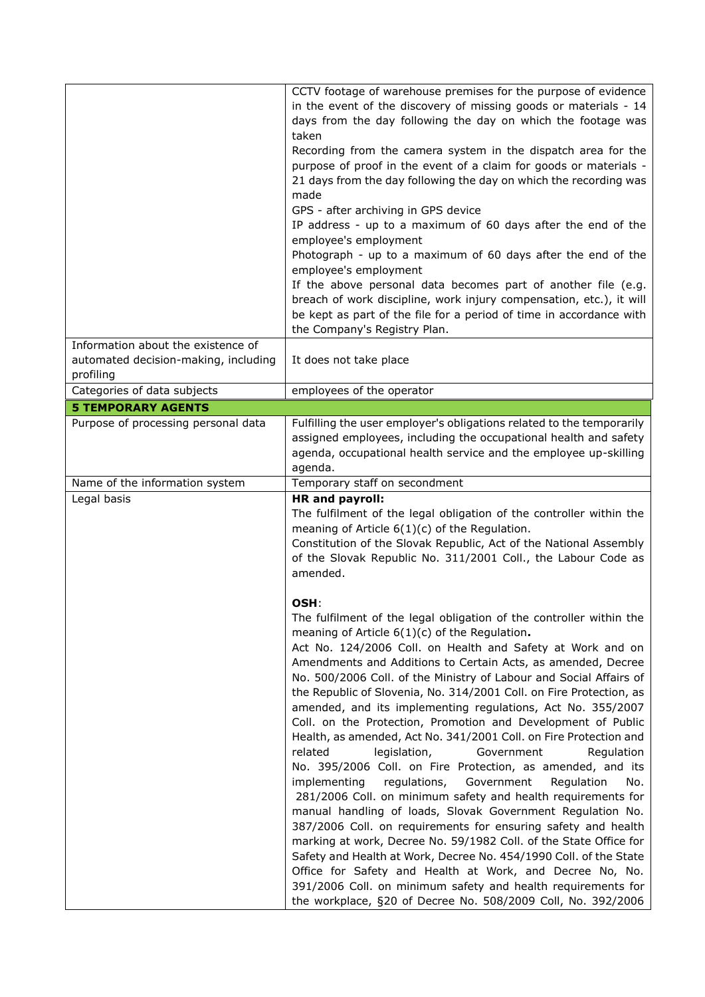|                                                                                         | CCTV footage of warehouse premises for the purpose of evidence<br>in the event of the discovery of missing goods or materials - 14<br>days from the day following the day on which the footage was<br>taken<br>Recording from the camera system in the dispatch area for the<br>purpose of proof in the event of a claim for goods or materials -<br>21 days from the day following the day on which the recording was<br>made<br>GPS - after archiving in GPS device<br>IP address - up to a maximum of 60 days after the end of the<br>employee's employment<br>Photograph - up to a maximum of 60 days after the end of the<br>employee's employment<br>If the above personal data becomes part of another file (e.g.<br>breach of work discipline, work injury compensation, etc.), it will<br>be kept as part of the file for a period of time in accordance with<br>the Company's Registry Plan.                                                                                                                                                                                                                                                                                                                                                                                                                                     |
|-----------------------------------------------------------------------------------------|--------------------------------------------------------------------------------------------------------------------------------------------------------------------------------------------------------------------------------------------------------------------------------------------------------------------------------------------------------------------------------------------------------------------------------------------------------------------------------------------------------------------------------------------------------------------------------------------------------------------------------------------------------------------------------------------------------------------------------------------------------------------------------------------------------------------------------------------------------------------------------------------------------------------------------------------------------------------------------------------------------------------------------------------------------------------------------------------------------------------------------------------------------------------------------------------------------------------------------------------------------------------------------------------------------------------------------------------|
| Information about the existence of<br>automated decision-making, including<br>profiling | It does not take place                                                                                                                                                                                                                                                                                                                                                                                                                                                                                                                                                                                                                                                                                                                                                                                                                                                                                                                                                                                                                                                                                                                                                                                                                                                                                                                     |
| Categories of data subjects                                                             | employees of the operator                                                                                                                                                                                                                                                                                                                                                                                                                                                                                                                                                                                                                                                                                                                                                                                                                                                                                                                                                                                                                                                                                                                                                                                                                                                                                                                  |
| <b>5 TEMPORARY AGENTS</b>                                                               |                                                                                                                                                                                                                                                                                                                                                                                                                                                                                                                                                                                                                                                                                                                                                                                                                                                                                                                                                                                                                                                                                                                                                                                                                                                                                                                                            |
| Purpose of processing personal data                                                     | Fulfilling the user employer's obligations related to the temporarily<br>assigned employees, including the occupational health and safety<br>agenda, occupational health service and the employee up-skilling<br>agenda.                                                                                                                                                                                                                                                                                                                                                                                                                                                                                                                                                                                                                                                                                                                                                                                                                                                                                                                                                                                                                                                                                                                   |
| Name of the information system<br>Legal basis                                           | Temporary staff on secondment<br><b>HR</b> and payroll:                                                                                                                                                                                                                                                                                                                                                                                                                                                                                                                                                                                                                                                                                                                                                                                                                                                                                                                                                                                                                                                                                                                                                                                                                                                                                    |
|                                                                                         | The fulfilment of the legal obligation of the controller within the<br>meaning of Article $6(1)(c)$ of the Regulation.<br>Constitution of the Slovak Republic, Act of the National Assembly<br>of the Slovak Republic No. 311/2001 Coll., the Labour Code as<br>amended.                                                                                                                                                                                                                                                                                                                                                                                                                                                                                                                                                                                                                                                                                                                                                                                                                                                                                                                                                                                                                                                                   |
|                                                                                         | OSH:<br>The fulfilment of the legal obligation of the controller within the<br>meaning of Article $6(1)(c)$ of the Regulation.<br>Act No. 124/2006 Coll. on Health and Safety at Work and on<br>Amendments and Additions to Certain Acts, as amended, Decree<br>No. 500/2006 Coll. of the Ministry of Labour and Social Affairs of<br>the Republic of Slovenia, No. 314/2001 Coll. on Fire Protection, as<br>amended, and its implementing regulations, Act No. 355/2007<br>Coll. on the Protection, Promotion and Development of Public<br>Health, as amended, Act No. 341/2001 Coll. on Fire Protection and<br>related<br>legislation,<br>Government<br>Regulation<br>No. 395/2006 Coll. on Fire Protection, as amended, and its<br>regulations,<br>Government<br>implementing<br>Regulation<br>No.<br>281/2006 Coll. on minimum safety and health requirements for<br>manual handling of loads, Slovak Government Regulation No.<br>387/2006 Coll. on requirements for ensuring safety and health<br>marking at work, Decree No. 59/1982 Coll. of the State Office for<br>Safety and Health at Work, Decree No. 454/1990 Coll. of the State<br>Office for Safety and Health at Work, and Decree No, No.<br>391/2006 Coll. on minimum safety and health requirements for<br>the workplace, §20 of Decree No. 508/2009 Coll, No. 392/2006 |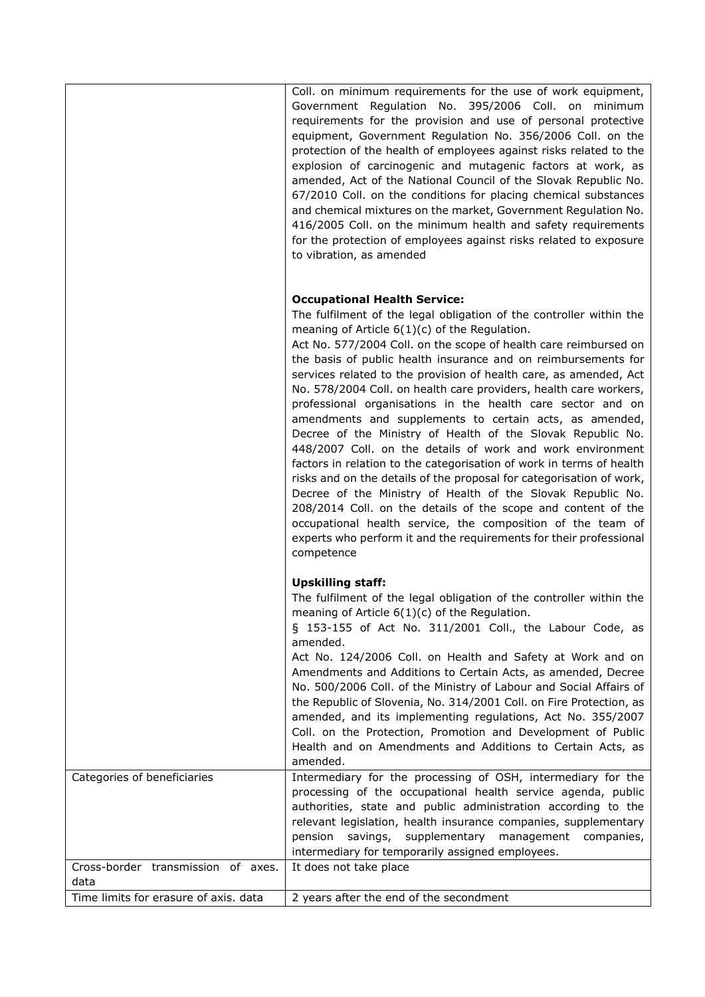|                                            | Coll. on minimum requirements for the use of work equipment,<br>Government Regulation No. 395/2006 Coll. on minimum<br>requirements for the provision and use of personal protective<br>equipment, Government Regulation No. 356/2006 Coll. on the<br>protection of the health of employees against risks related to the<br>explosion of carcinogenic and mutagenic factors at work, as<br>amended, Act of the National Council of the Slovak Republic No.<br>67/2010 Coll. on the conditions for placing chemical substances<br>and chemical mixtures on the market, Government Regulation No.<br>416/2005 Coll. on the minimum health and safety requirements<br>for the protection of employees against risks related to exposure<br>to vibration, as amended                                                                                                                                                                                                                                                                                                                                                                        |
|--------------------------------------------|-----------------------------------------------------------------------------------------------------------------------------------------------------------------------------------------------------------------------------------------------------------------------------------------------------------------------------------------------------------------------------------------------------------------------------------------------------------------------------------------------------------------------------------------------------------------------------------------------------------------------------------------------------------------------------------------------------------------------------------------------------------------------------------------------------------------------------------------------------------------------------------------------------------------------------------------------------------------------------------------------------------------------------------------------------------------------------------------------------------------------------------------|
|                                            | <b>Occupational Health Service:</b><br>The fulfilment of the legal obligation of the controller within the<br>meaning of Article $6(1)(c)$ of the Regulation.<br>Act No. 577/2004 Coll. on the scope of health care reimbursed on<br>the basis of public health insurance and on reimbursements for<br>services related to the provision of health care, as amended, Act<br>No. 578/2004 Coll. on health care providers, health care workers,<br>professional organisations in the health care sector and on<br>amendments and supplements to certain acts, as amended,<br>Decree of the Ministry of Health of the Slovak Republic No.<br>448/2007 Coll. on the details of work and work environment<br>factors in relation to the categorisation of work in terms of health<br>risks and on the details of the proposal for categorisation of work,<br>Decree of the Ministry of Health of the Slovak Republic No.<br>208/2014 Coll. on the details of the scope and content of the<br>occupational health service, the composition of the team of<br>experts who perform it and the requirements for their professional<br>competence |
|                                            | <b>Upskilling staff:</b><br>The fulfilment of the legal obligation of the controller within the<br>meaning of Article $6(1)(c)$ of the Regulation.<br>§ 153-155 of Act No. 311/2001 Coll., the Labour Code, as<br>amended.<br>Act No. 124/2006 Coll. on Health and Safety at Work and on<br>Amendments and Additions to Certain Acts, as amended, Decree<br>No. 500/2006 Coll. of the Ministry of Labour and Social Affairs of<br>the Republic of Slovenia, No. 314/2001 Coll. on Fire Protection, as<br>amended, and its implementing regulations, Act No. 355/2007<br>Coll. on the Protection, Promotion and Development of Public<br>Health and on Amendments and Additions to Certain Acts, as                                                                                                                                                                                                                                                                                                                                                                                                                                      |
| Categories of beneficiaries                | amended.<br>Intermediary for the processing of OSH, intermediary for the<br>processing of the occupational health service agenda, public<br>authorities, state and public administration according to the<br>relevant legislation, health insurance companies, supplementary<br>savings, supplementary management companies,<br>pension<br>intermediary for temporarily assigned employees.                                                                                                                                                                                                                                                                                                                                                                                                                                                                                                                                                                                                                                                                                                                                             |
| Cross-border transmission of axes.<br>data | It does not take place                                                                                                                                                                                                                                                                                                                                                                                                                                                                                                                                                                                                                                                                                                                                                                                                                                                                                                                                                                                                                                                                                                                  |
| Time limits for erasure of axis. data      | 2 years after the end of the secondment                                                                                                                                                                                                                                                                                                                                                                                                                                                                                                                                                                                                                                                                                                                                                                                                                                                                                                                                                                                                                                                                                                 |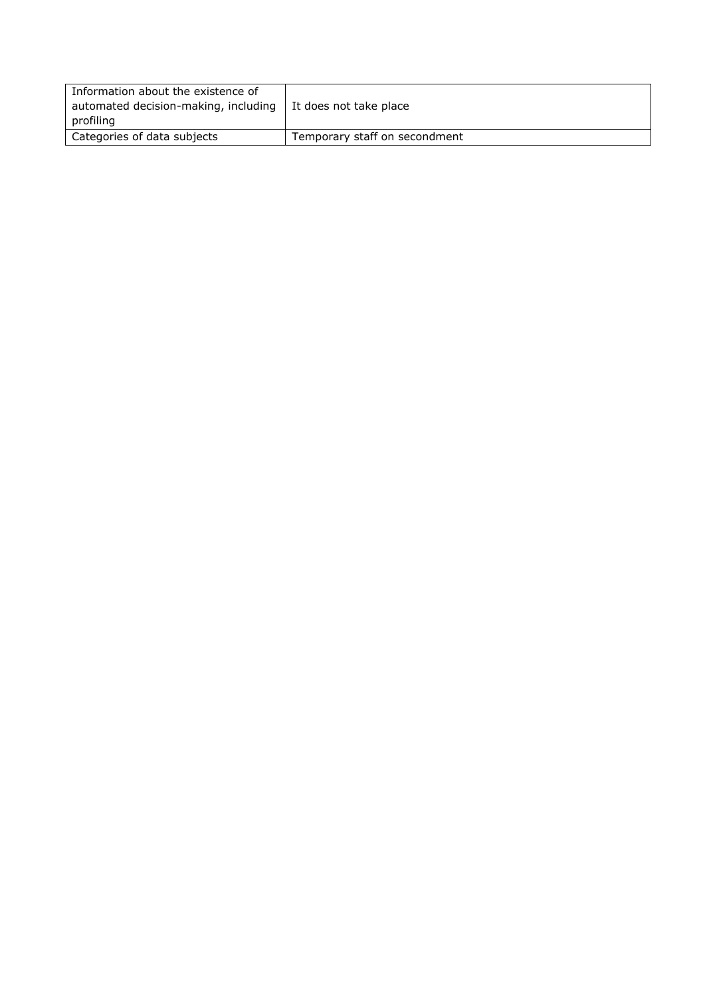| Information about the existence of<br>automated decision-making, including<br>profiling | l It does not take place      |
|-----------------------------------------------------------------------------------------|-------------------------------|
| Categories of data subjects                                                             | Temporary staff on secondment |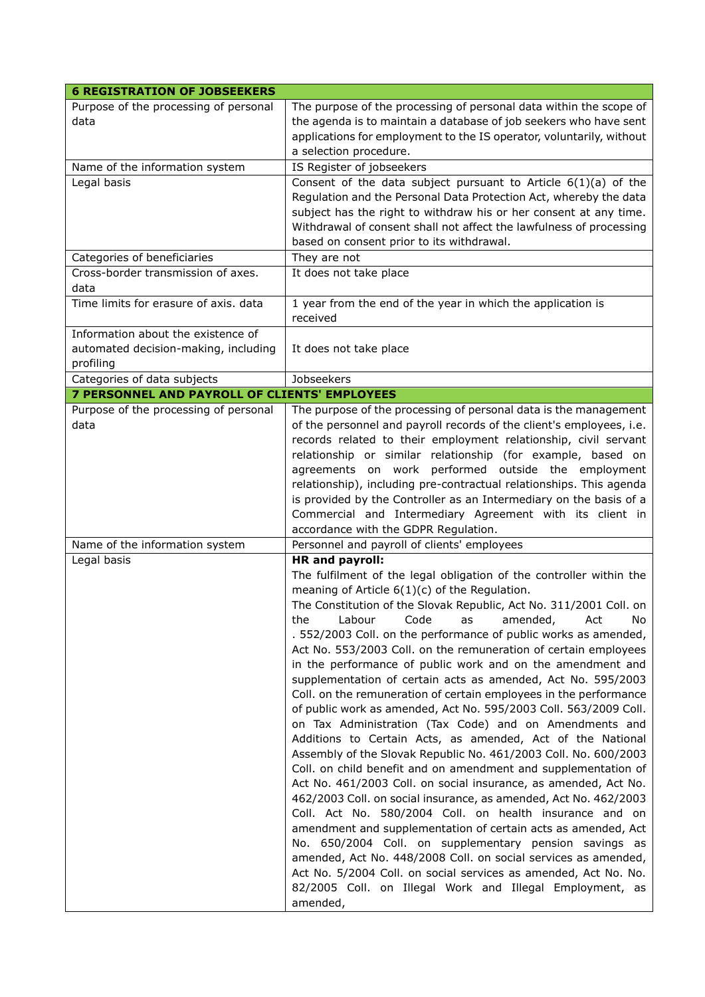| <b>6 REGISTRATION OF JOBSEEKERS</b>                                                     |                                                                                                                                                                                                                                                                                                                                                                                                                                                                                                                                                                                                                                                                                                                                                                                                                                                                                                                                                                                                                                                                                                                                                                                                                                                                                                                                                                                                                                                                                                    |
|-----------------------------------------------------------------------------------------|----------------------------------------------------------------------------------------------------------------------------------------------------------------------------------------------------------------------------------------------------------------------------------------------------------------------------------------------------------------------------------------------------------------------------------------------------------------------------------------------------------------------------------------------------------------------------------------------------------------------------------------------------------------------------------------------------------------------------------------------------------------------------------------------------------------------------------------------------------------------------------------------------------------------------------------------------------------------------------------------------------------------------------------------------------------------------------------------------------------------------------------------------------------------------------------------------------------------------------------------------------------------------------------------------------------------------------------------------------------------------------------------------------------------------------------------------------------------------------------------------|
| Purpose of the processing of personal<br>data                                           | The purpose of the processing of personal data within the scope of<br>the agenda is to maintain a database of job seekers who have sent<br>applications for employment to the IS operator, voluntarily, without<br>a selection procedure.                                                                                                                                                                                                                                                                                                                                                                                                                                                                                                                                                                                                                                                                                                                                                                                                                                                                                                                                                                                                                                                                                                                                                                                                                                                          |
| Name of the information system                                                          | IS Register of jobseekers                                                                                                                                                                                                                                                                                                                                                                                                                                                                                                                                                                                                                                                                                                                                                                                                                                                                                                                                                                                                                                                                                                                                                                                                                                                                                                                                                                                                                                                                          |
| Legal basis                                                                             | Consent of the data subject pursuant to Article $6(1)(a)$ of the<br>Regulation and the Personal Data Protection Act, whereby the data<br>subject has the right to withdraw his or her consent at any time.<br>Withdrawal of consent shall not affect the lawfulness of processing<br>based on consent prior to its withdrawal.                                                                                                                                                                                                                                                                                                                                                                                                                                                                                                                                                                                                                                                                                                                                                                                                                                                                                                                                                                                                                                                                                                                                                                     |
| Categories of beneficiaries                                                             | They are not                                                                                                                                                                                                                                                                                                                                                                                                                                                                                                                                                                                                                                                                                                                                                                                                                                                                                                                                                                                                                                                                                                                                                                                                                                                                                                                                                                                                                                                                                       |
| Cross-border transmission of axes.<br>data                                              | It does not take place                                                                                                                                                                                                                                                                                                                                                                                                                                                                                                                                                                                                                                                                                                                                                                                                                                                                                                                                                                                                                                                                                                                                                                                                                                                                                                                                                                                                                                                                             |
| Time limits for erasure of axis. data                                                   | 1 year from the end of the year in which the application is<br>received                                                                                                                                                                                                                                                                                                                                                                                                                                                                                                                                                                                                                                                                                                                                                                                                                                                                                                                                                                                                                                                                                                                                                                                                                                                                                                                                                                                                                            |
| Information about the existence of<br>automated decision-making, including<br>profiling | It does not take place                                                                                                                                                                                                                                                                                                                                                                                                                                                                                                                                                                                                                                                                                                                                                                                                                                                                                                                                                                                                                                                                                                                                                                                                                                                                                                                                                                                                                                                                             |
| Categories of data subjects                                                             | Jobseekers                                                                                                                                                                                                                                                                                                                                                                                                                                                                                                                                                                                                                                                                                                                                                                                                                                                                                                                                                                                                                                                                                                                                                                                                                                                                                                                                                                                                                                                                                         |
| <b>7 PERSONNEL AND PAYROLL OF CLIENTS' EMPLOYEES</b>                                    |                                                                                                                                                                                                                                                                                                                                                                                                                                                                                                                                                                                                                                                                                                                                                                                                                                                                                                                                                                                                                                                                                                                                                                                                                                                                                                                                                                                                                                                                                                    |
| Purpose of the processing of personal<br>data                                           | The purpose of the processing of personal data is the management<br>of the personnel and payroll records of the client's employees, i.e.<br>records related to their employment relationship, civil servant<br>relationship or similar relationship (for example, based on<br>agreements on work performed outside the employment<br>relationship), including pre-contractual relationships. This agenda<br>is provided by the Controller as an Intermediary on the basis of a<br>Commercial and Intermediary Agreement with its client in<br>accordance with the GDPR Regulation.                                                                                                                                                                                                                                                                                                                                                                                                                                                                                                                                                                                                                                                                                                                                                                                                                                                                                                                 |
| Name of the information system                                                          | Personnel and payroll of clients' employees                                                                                                                                                                                                                                                                                                                                                                                                                                                                                                                                                                                                                                                                                                                                                                                                                                                                                                                                                                                                                                                                                                                                                                                                                                                                                                                                                                                                                                                        |
| Legal basis                                                                             | <b>HR</b> and payroll:<br>The fulfilment of the legal obligation of the controller within the<br>meaning of Article $6(1)(c)$ of the Regulation.<br>The Constitution of the Slovak Republic, Act No. 311/2001 Coll. on<br>the<br>Labour<br>Code<br>as<br>amended,<br>Act<br>No<br>. 552/2003 Coll. on the performance of public works as amended,<br>Act No. 553/2003 Coll. on the remuneration of certain employees<br>in the performance of public work and on the amendment and<br>supplementation of certain acts as amended, Act No. 595/2003<br>Coll. on the remuneration of certain employees in the performance<br>of public work as amended, Act No. 595/2003 Coll. 563/2009 Coll.<br>on Tax Administration (Tax Code) and on Amendments and<br>Additions to Certain Acts, as amended, Act of the National<br>Assembly of the Slovak Republic No. 461/2003 Coll. No. 600/2003<br>Coll. on child benefit and on amendment and supplementation of<br>Act No. 461/2003 Coll. on social insurance, as amended, Act No.<br>462/2003 Coll. on social insurance, as amended, Act No. 462/2003<br>Coll. Act No. 580/2004 Coll. on health insurance and on<br>amendment and supplementation of certain acts as amended, Act<br>No. 650/2004 Coll. on supplementary pension savings as<br>amended, Act No. 448/2008 Coll. on social services as amended,<br>Act No. 5/2004 Coll. on social services as amended, Act No. No.<br>82/2005 Coll. on Illegal Work and Illegal Employment, as<br>amended, |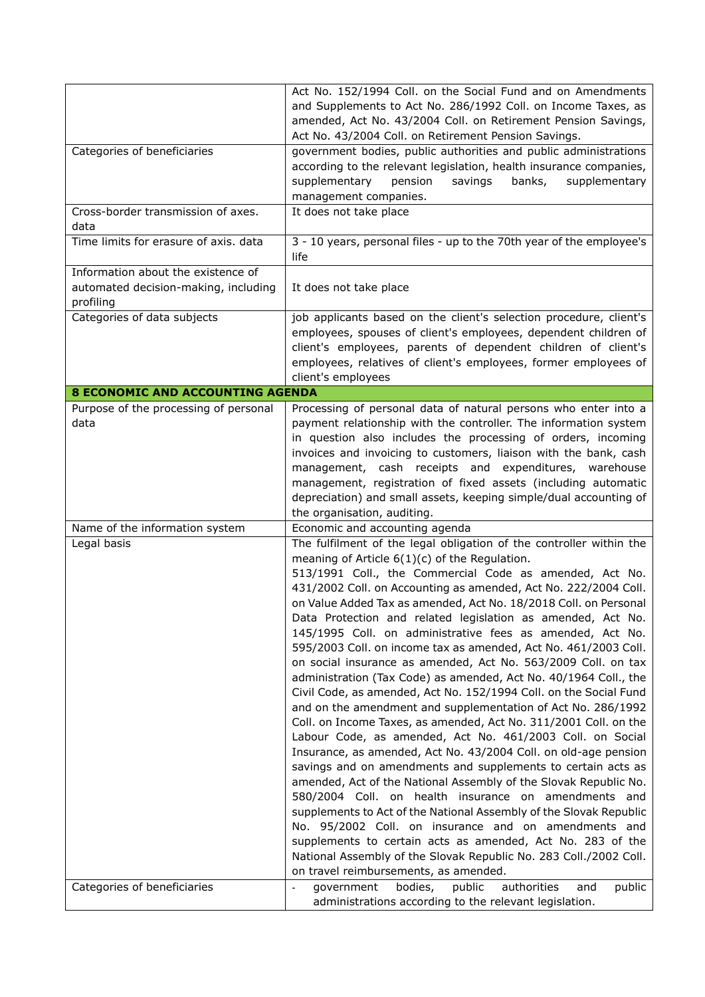|                                                                                         | Act No. 152/1994 Coll. on the Social Fund and on Amendments<br>and Supplements to Act No. 286/1992 Coll. on Income Taxes, as<br>amended, Act No. 43/2004 Coll. on Retirement Pension Savings,<br>Act No. 43/2004 Coll. on Retirement Pension Savings.                                                                                                                                                                                                                                                                                                                                                                                                                                                                                                                                                                                                                                                                                                                                                                                                                                                                                                                                                                                                                                                                                                                                                                                                                                                     |
|-----------------------------------------------------------------------------------------|-----------------------------------------------------------------------------------------------------------------------------------------------------------------------------------------------------------------------------------------------------------------------------------------------------------------------------------------------------------------------------------------------------------------------------------------------------------------------------------------------------------------------------------------------------------------------------------------------------------------------------------------------------------------------------------------------------------------------------------------------------------------------------------------------------------------------------------------------------------------------------------------------------------------------------------------------------------------------------------------------------------------------------------------------------------------------------------------------------------------------------------------------------------------------------------------------------------------------------------------------------------------------------------------------------------------------------------------------------------------------------------------------------------------------------------------------------------------------------------------------------------|
| Categories of beneficiaries                                                             | government bodies, public authorities and public administrations<br>according to the relevant legislation, health insurance companies,<br>supplementary<br>pension<br>banks,<br>supplementary<br>savings<br>management companies.                                                                                                                                                                                                                                                                                                                                                                                                                                                                                                                                                                                                                                                                                                                                                                                                                                                                                                                                                                                                                                                                                                                                                                                                                                                                         |
| Cross-border transmission of axes.<br>data                                              | It does not take place                                                                                                                                                                                                                                                                                                                                                                                                                                                                                                                                                                                                                                                                                                                                                                                                                                                                                                                                                                                                                                                                                                                                                                                                                                                                                                                                                                                                                                                                                    |
| Time limits for erasure of axis. data                                                   | 3 - 10 years, personal files - up to the 70th year of the employee's<br>life                                                                                                                                                                                                                                                                                                                                                                                                                                                                                                                                                                                                                                                                                                                                                                                                                                                                                                                                                                                                                                                                                                                                                                                                                                                                                                                                                                                                                              |
| Information about the existence of<br>automated decision-making, including<br>profiling | It does not take place                                                                                                                                                                                                                                                                                                                                                                                                                                                                                                                                                                                                                                                                                                                                                                                                                                                                                                                                                                                                                                                                                                                                                                                                                                                                                                                                                                                                                                                                                    |
| Categories of data subjects                                                             | job applicants based on the client's selection procedure, client's<br>employees, spouses of client's employees, dependent children of<br>client's employees, parents of dependent children of client's<br>employees, relatives of client's employees, former employees of<br>client's employees                                                                                                                                                                                                                                                                                                                                                                                                                                                                                                                                                                                                                                                                                                                                                                                                                                                                                                                                                                                                                                                                                                                                                                                                           |
| <b>8 ECONOMIC AND ACCOUNTING AGENDA</b>                                                 |                                                                                                                                                                                                                                                                                                                                                                                                                                                                                                                                                                                                                                                                                                                                                                                                                                                                                                                                                                                                                                                                                                                                                                                                                                                                                                                                                                                                                                                                                                           |
| Purpose of the processing of personal<br>data                                           | Processing of personal data of natural persons who enter into a<br>payment relationship with the controller. The information system<br>in question also includes the processing of orders, incoming<br>invoices and invoicing to customers, liaison with the bank, cash<br>management, cash receipts and expenditures, warehouse<br>management, registration of fixed assets (including automatic<br>depreciation) and small assets, keeping simple/dual accounting of<br>the organisation, auditing.                                                                                                                                                                                                                                                                                                                                                                                                                                                                                                                                                                                                                                                                                                                                                                                                                                                                                                                                                                                                     |
| Name of the information system                                                          | Economic and accounting agenda                                                                                                                                                                                                                                                                                                                                                                                                                                                                                                                                                                                                                                                                                                                                                                                                                                                                                                                                                                                                                                                                                                                                                                                                                                                                                                                                                                                                                                                                            |
| Legal basis                                                                             | The fulfilment of the legal obligation of the controller within the<br>meaning of Article 6(1)(c) of the Regulation.<br>513/1991 Coll., the Commercial Code as amended, Act No.<br>431/2002 Coll. on Accounting as amended, Act No. 222/2004 Coll.<br>on Value Added Tax as amended, Act No. 18/2018 Coll. on Personal<br>Data Protection and related legislation as amended, Act No.<br>145/1995 Coll. on administrative fees as amended, Act No.<br>595/2003 Coll. on income tax as amended, Act No. 461/2003 Coll.<br>on social insurance as amended, Act No. 563/2009 Coll. on tax<br>administration (Tax Code) as amended, Act No. 40/1964 Coll., the<br>Civil Code, as amended, Act No. 152/1994 Coll. on the Social Fund<br>and on the amendment and supplementation of Act No. 286/1992<br>Coll. on Income Taxes, as amended, Act No. 311/2001 Coll. on the<br>Labour Code, as amended, Act No. 461/2003 Coll. on Social<br>Insurance, as amended, Act No. 43/2004 Coll. on old-age pension<br>savings and on amendments and supplements to certain acts as<br>amended, Act of the National Assembly of the Slovak Republic No.<br>580/2004 Coll. on health insurance on amendments and<br>supplements to Act of the National Assembly of the Slovak Republic<br>No. 95/2002 Coll. on insurance and on amendments and<br>supplements to certain acts as amended, Act No. 283 of the<br>National Assembly of the Slovak Republic No. 283 Coll./2002 Coll.<br>on travel reimbursements, as amended. |
| Categories of beneficiaries                                                             | authorities<br>government<br>bodies,<br>public<br>public<br>and<br>$\overline{\phantom{a}}$<br>administrations according to the relevant legislation.                                                                                                                                                                                                                                                                                                                                                                                                                                                                                                                                                                                                                                                                                                                                                                                                                                                                                                                                                                                                                                                                                                                                                                                                                                                                                                                                                     |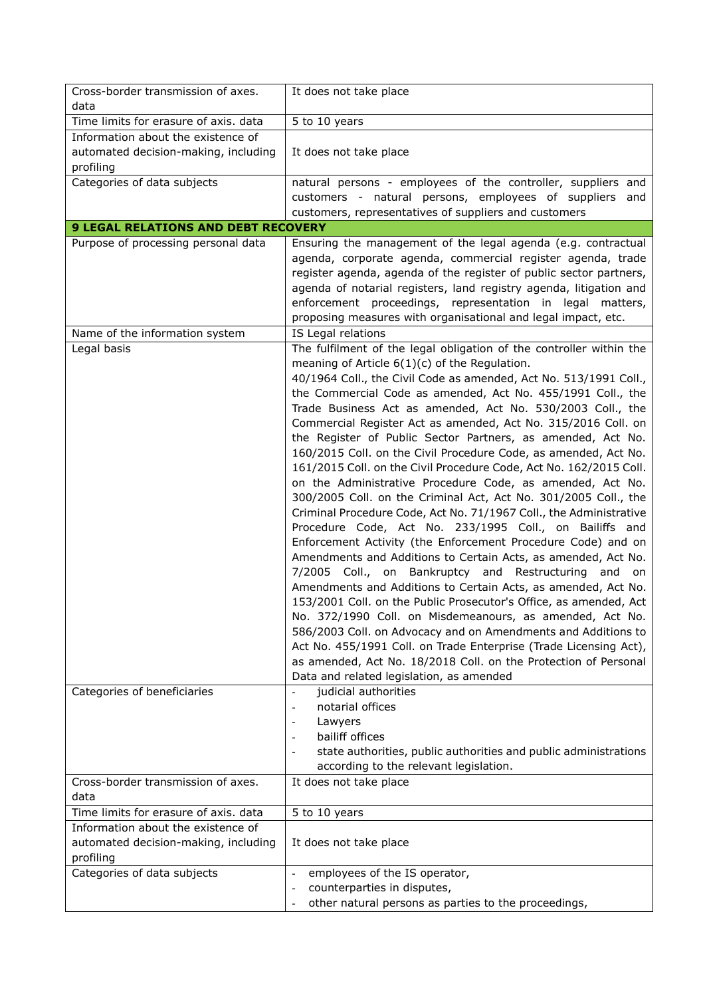| Cross-border transmission of axes.                                          | It does not take place                                                                                                                                                                                                                                                                                                                                                                                                                                                                                                                                                                                                                                                                                                                                                                                                                                                                                                                                                                                                                                                                                                                                                                                                                                                                                                                                                                                                                                                                                             |
|-----------------------------------------------------------------------------|--------------------------------------------------------------------------------------------------------------------------------------------------------------------------------------------------------------------------------------------------------------------------------------------------------------------------------------------------------------------------------------------------------------------------------------------------------------------------------------------------------------------------------------------------------------------------------------------------------------------------------------------------------------------------------------------------------------------------------------------------------------------------------------------------------------------------------------------------------------------------------------------------------------------------------------------------------------------------------------------------------------------------------------------------------------------------------------------------------------------------------------------------------------------------------------------------------------------------------------------------------------------------------------------------------------------------------------------------------------------------------------------------------------------------------------------------------------------------------------------------------------------|
| data                                                                        |                                                                                                                                                                                                                                                                                                                                                                                                                                                                                                                                                                                                                                                                                                                                                                                                                                                                                                                                                                                                                                                                                                                                                                                                                                                                                                                                                                                                                                                                                                                    |
| Time limits for erasure of axis. data                                       | 5 to 10 years                                                                                                                                                                                                                                                                                                                                                                                                                                                                                                                                                                                                                                                                                                                                                                                                                                                                                                                                                                                                                                                                                                                                                                                                                                                                                                                                                                                                                                                                                                      |
| Information about the existence of                                          |                                                                                                                                                                                                                                                                                                                                                                                                                                                                                                                                                                                                                                                                                                                                                                                                                                                                                                                                                                                                                                                                                                                                                                                                                                                                                                                                                                                                                                                                                                                    |
| automated decision-making, including                                        | It does not take place                                                                                                                                                                                                                                                                                                                                                                                                                                                                                                                                                                                                                                                                                                                                                                                                                                                                                                                                                                                                                                                                                                                                                                                                                                                                                                                                                                                                                                                                                             |
| profiling                                                                   |                                                                                                                                                                                                                                                                                                                                                                                                                                                                                                                                                                                                                                                                                                                                                                                                                                                                                                                                                                                                                                                                                                                                                                                                                                                                                                                                                                                                                                                                                                                    |
| Categories of data subjects                                                 | natural persons - employees of the controller, suppliers and                                                                                                                                                                                                                                                                                                                                                                                                                                                                                                                                                                                                                                                                                                                                                                                                                                                                                                                                                                                                                                                                                                                                                                                                                                                                                                                                                                                                                                                       |
|                                                                             | customers - natural persons, employees of suppliers and                                                                                                                                                                                                                                                                                                                                                                                                                                                                                                                                                                                                                                                                                                                                                                                                                                                                                                                                                                                                                                                                                                                                                                                                                                                                                                                                                                                                                                                            |
|                                                                             | customers, representatives of suppliers and customers                                                                                                                                                                                                                                                                                                                                                                                                                                                                                                                                                                                                                                                                                                                                                                                                                                                                                                                                                                                                                                                                                                                                                                                                                                                                                                                                                                                                                                                              |
| <b>9 LEGAL RELATIONS AND DEBT RECOVERY</b>                                  |                                                                                                                                                                                                                                                                                                                                                                                                                                                                                                                                                                                                                                                                                                                                                                                                                                                                                                                                                                                                                                                                                                                                                                                                                                                                                                                                                                                                                                                                                                                    |
| Purpose of processing personal data                                         | Ensuring the management of the legal agenda (e.g. contractual<br>agenda, corporate agenda, commercial register agenda, trade<br>register agenda, agenda of the register of public sector partners,<br>agenda of notarial registers, land registry agenda, litigation and<br>enforcement proceedings, representation in legal matters,<br>proposing measures with organisational and legal impact, etc.                                                                                                                                                                                                                                                                                                                                                                                                                                                                                                                                                                                                                                                                                                                                                                                                                                                                                                                                                                                                                                                                                                             |
| Name of the information system                                              | IS Legal relations                                                                                                                                                                                                                                                                                                                                                                                                                                                                                                                                                                                                                                                                                                                                                                                                                                                                                                                                                                                                                                                                                                                                                                                                                                                                                                                                                                                                                                                                                                 |
| Legal basis                                                                 | The fulfilment of the legal obligation of the controller within the<br>meaning of Article $6(1)(c)$ of the Regulation.<br>40/1964 Coll., the Civil Code as amended, Act No. 513/1991 Coll.,<br>the Commercial Code as amended, Act No. 455/1991 Coll., the<br>Trade Business Act as amended, Act No. 530/2003 Coll., the<br>Commercial Register Act as amended, Act No. 315/2016 Coll. on<br>the Register of Public Sector Partners, as amended, Act No.<br>160/2015 Coll. on the Civil Procedure Code, as amended, Act No.<br>161/2015 Coll. on the Civil Procedure Code, Act No. 162/2015 Coll.<br>on the Administrative Procedure Code, as amended, Act No.<br>300/2005 Coll. on the Criminal Act, Act No. 301/2005 Coll., the<br>Criminal Procedure Code, Act No. 71/1967 Coll., the Administrative<br>Procedure Code, Act No. 233/1995 Coll., on Bailiffs and<br>Enforcement Activity (the Enforcement Procedure Code) and on<br>Amendments and Additions to Certain Acts, as amended, Act No.<br>7/2005 Coll., on Bankruptcy and Restructuring and on<br>Amendments and Additions to Certain Acts, as amended, Act No.<br>153/2001 Coll. on the Public Prosecutor's Office, as amended, Act<br>No. 372/1990 Coll. on Misdemeanours, as amended, Act No.<br>586/2003 Coll. on Advocacy and on Amendments and Additions to<br>Act No. 455/1991 Coll. on Trade Enterprise (Trade Licensing Act),<br>as amended, Act No. 18/2018 Coll. on the Protection of Personal<br>Data and related legislation, as amended |
| Categories of beneficiaries                                                 | judicial authorities                                                                                                                                                                                                                                                                                                                                                                                                                                                                                                                                                                                                                                                                                                                                                                                                                                                                                                                                                                                                                                                                                                                                                                                                                                                                                                                                                                                                                                                                                               |
|                                                                             | notarial offices                                                                                                                                                                                                                                                                                                                                                                                                                                                                                                                                                                                                                                                                                                                                                                                                                                                                                                                                                                                                                                                                                                                                                                                                                                                                                                                                                                                                                                                                                                   |
|                                                                             | Lawyers                                                                                                                                                                                                                                                                                                                                                                                                                                                                                                                                                                                                                                                                                                                                                                                                                                                                                                                                                                                                                                                                                                                                                                                                                                                                                                                                                                                                                                                                                                            |
|                                                                             | bailiff offices                                                                                                                                                                                                                                                                                                                                                                                                                                                                                                                                                                                                                                                                                                                                                                                                                                                                                                                                                                                                                                                                                                                                                                                                                                                                                                                                                                                                                                                                                                    |
|                                                                             | state authorities, public authorities and public administrations                                                                                                                                                                                                                                                                                                                                                                                                                                                                                                                                                                                                                                                                                                                                                                                                                                                                                                                                                                                                                                                                                                                                                                                                                                                                                                                                                                                                                                                   |
|                                                                             | according to the relevant legislation.                                                                                                                                                                                                                                                                                                                                                                                                                                                                                                                                                                                                                                                                                                                                                                                                                                                                                                                                                                                                                                                                                                                                                                                                                                                                                                                                                                                                                                                                             |
| Cross-border transmission of axes.                                          | It does not take place                                                                                                                                                                                                                                                                                                                                                                                                                                                                                                                                                                                                                                                                                                                                                                                                                                                                                                                                                                                                                                                                                                                                                                                                                                                                                                                                                                                                                                                                                             |
| data                                                                        |                                                                                                                                                                                                                                                                                                                                                                                                                                                                                                                                                                                                                                                                                                                                                                                                                                                                                                                                                                                                                                                                                                                                                                                                                                                                                                                                                                                                                                                                                                                    |
| Time limits for erasure of axis. data<br>Information about the existence of | 5 to 10 years                                                                                                                                                                                                                                                                                                                                                                                                                                                                                                                                                                                                                                                                                                                                                                                                                                                                                                                                                                                                                                                                                                                                                                                                                                                                                                                                                                                                                                                                                                      |
| automated decision-making, including<br>profiling                           | It does not take place                                                                                                                                                                                                                                                                                                                                                                                                                                                                                                                                                                                                                                                                                                                                                                                                                                                                                                                                                                                                                                                                                                                                                                                                                                                                                                                                                                                                                                                                                             |
| Categories of data subjects                                                 | employees of the IS operator,<br>$\overline{\phantom{a}}$                                                                                                                                                                                                                                                                                                                                                                                                                                                                                                                                                                                                                                                                                                                                                                                                                                                                                                                                                                                                                                                                                                                                                                                                                                                                                                                                                                                                                                                          |
|                                                                             | counterparties in disputes,                                                                                                                                                                                                                                                                                                                                                                                                                                                                                                                                                                                                                                                                                                                                                                                                                                                                                                                                                                                                                                                                                                                                                                                                                                                                                                                                                                                                                                                                                        |
|                                                                             | other natural persons as parties to the proceedings,                                                                                                                                                                                                                                                                                                                                                                                                                                                                                                                                                                                                                                                                                                                                                                                                                                                                                                                                                                                                                                                                                                                                                                                                                                                                                                                                                                                                                                                               |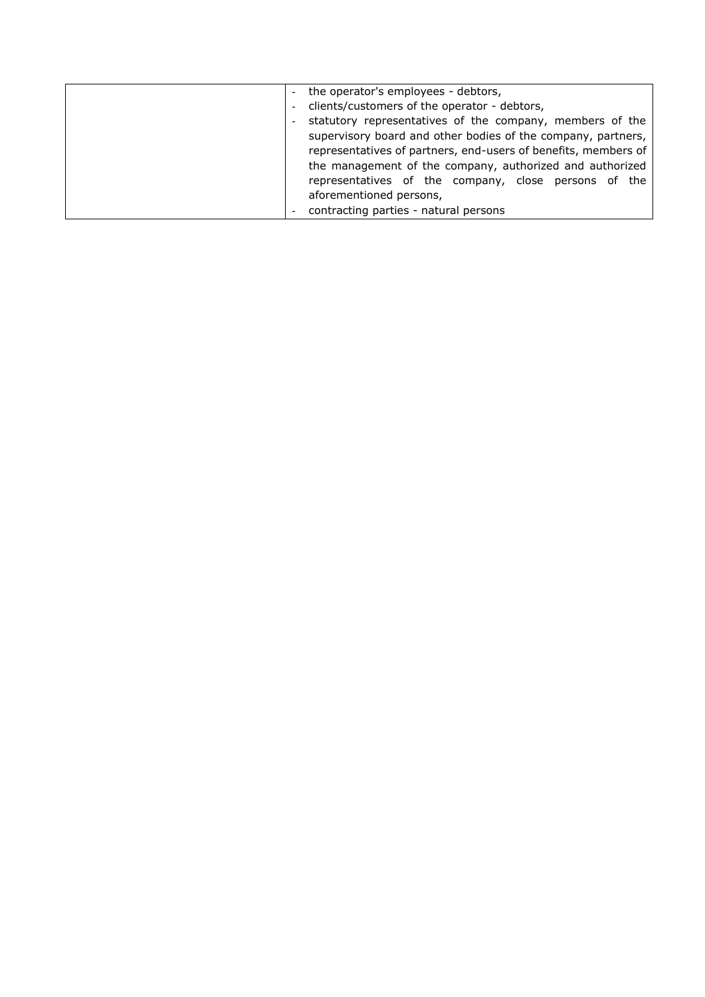| the operator's employees - debtors,                            |
|----------------------------------------------------------------|
| clients/customers of the operator - debtors,                   |
| statutory representatives of the company, members of the       |
| supervisory board and other bodies of the company, partners,   |
| representatives of partners, end-users of benefits, members of |
| the management of the company, authorized and authorized       |
| representatives of the company, close persons of the           |
| aforementioned persons,                                        |
| contracting parties - natural persons                          |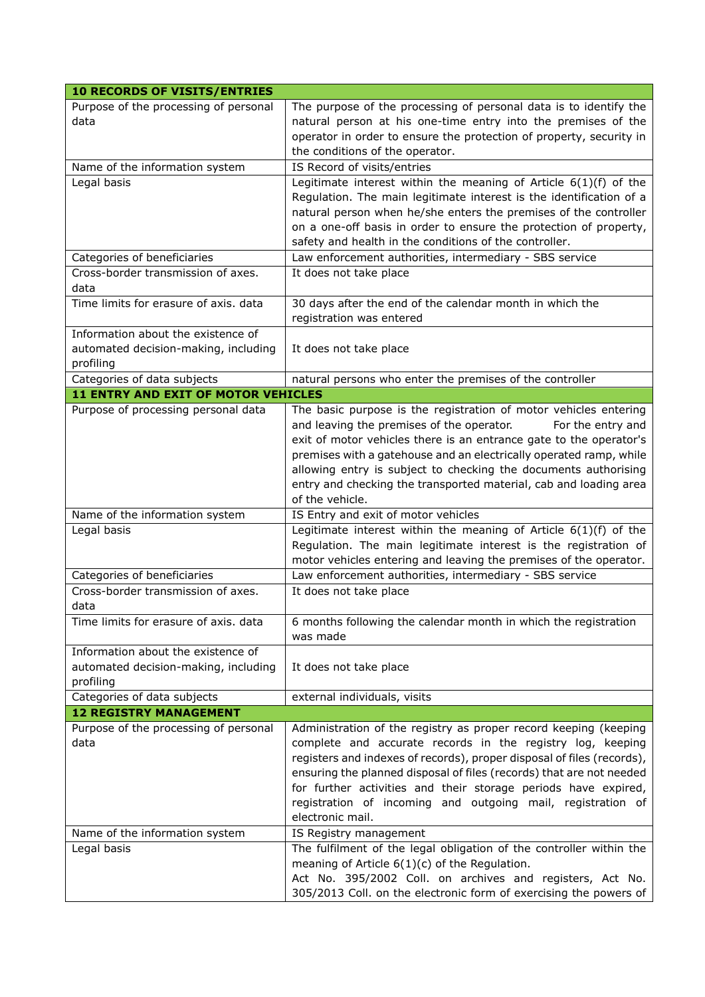| <b>10 RECORDS OF VISITS/ENTRIES</b>                                                     |                                                                                                                                                                                                                                                                                                                                                                                                                                           |
|-----------------------------------------------------------------------------------------|-------------------------------------------------------------------------------------------------------------------------------------------------------------------------------------------------------------------------------------------------------------------------------------------------------------------------------------------------------------------------------------------------------------------------------------------|
| Purpose of the processing of personal<br>data                                           | The purpose of the processing of personal data is to identify the<br>natural person at his one-time entry into the premises of the<br>operator in order to ensure the protection of property, security in<br>the conditions of the operator.                                                                                                                                                                                              |
| Name of the information system                                                          | IS Record of visits/entries                                                                                                                                                                                                                                                                                                                                                                                                               |
| Legal basis                                                                             | Legitimate interest within the meaning of Article $6(1)(f)$ of the<br>Regulation. The main legitimate interest is the identification of a<br>natural person when he/she enters the premises of the controller<br>on a one-off basis in order to ensure the protection of property,<br>safety and health in the conditions of the controller.                                                                                              |
| Categories of beneficiaries                                                             | Law enforcement authorities, intermediary - SBS service                                                                                                                                                                                                                                                                                                                                                                                   |
| Cross-border transmission of axes.<br>data                                              | It does not take place                                                                                                                                                                                                                                                                                                                                                                                                                    |
| Time limits for erasure of axis. data                                                   | 30 days after the end of the calendar month in which the<br>registration was entered                                                                                                                                                                                                                                                                                                                                                      |
| Information about the existence of<br>automated decision-making, including<br>profiling | It does not take place                                                                                                                                                                                                                                                                                                                                                                                                                    |
| Categories of data subjects                                                             | natural persons who enter the premises of the controller                                                                                                                                                                                                                                                                                                                                                                                  |
| <b>11 ENTRY AND EXIT OF MOTOR VEHICLES</b>                                              |                                                                                                                                                                                                                                                                                                                                                                                                                                           |
| Purpose of processing personal data                                                     | The basic purpose is the registration of motor vehicles entering<br>and leaving the premises of the operator.<br>For the entry and<br>exit of motor vehicles there is an entrance gate to the operator's<br>premises with a gatehouse and an electrically operated ramp, while<br>allowing entry is subject to checking the documents authorising<br>entry and checking the transported material, cab and loading area<br>of the vehicle. |
| Name of the information system                                                          | IS Entry and exit of motor vehicles                                                                                                                                                                                                                                                                                                                                                                                                       |
| Legal basis                                                                             | Legitimate interest within the meaning of Article $6(1)(f)$ of the<br>Regulation. The main legitimate interest is the registration of<br>motor vehicles entering and leaving the premises of the operator.                                                                                                                                                                                                                                |
| Categories of beneficiaries                                                             | Law enforcement authorities, intermediary - SBS service                                                                                                                                                                                                                                                                                                                                                                                   |
| Cross-border transmission of axes.<br>data                                              | It does not take place                                                                                                                                                                                                                                                                                                                                                                                                                    |
| Time limits for erasure of axis. data                                                   | 6 months following the calendar month in which the registration<br>was made                                                                                                                                                                                                                                                                                                                                                               |
| Information about the existence of<br>automated decision-making, including<br>profiling | It does not take place                                                                                                                                                                                                                                                                                                                                                                                                                    |
| Categories of data subjects                                                             | external individuals, visits                                                                                                                                                                                                                                                                                                                                                                                                              |
| <b>12 REGISTRY MANAGEMENT</b>                                                           |                                                                                                                                                                                                                                                                                                                                                                                                                                           |
| Purpose of the processing of personal<br>data                                           | Administration of the registry as proper record keeping (keeping<br>complete and accurate records in the registry log, keeping<br>registers and indexes of records), proper disposal of files (records),<br>ensuring the planned disposal of files (records) that are not needed<br>for further activities and their storage periods have expired,<br>registration of incoming and outgoing mail, registration of<br>electronic mail.     |
| Name of the information system                                                          | IS Registry management                                                                                                                                                                                                                                                                                                                                                                                                                    |
| Legal basis                                                                             | The fulfilment of the legal obligation of the controller within the<br>meaning of Article $6(1)(c)$ of the Regulation.<br>Act No. 395/2002 Coll. on archives and registers, Act No.<br>305/2013 Coll. on the electronic form of exercising the powers of                                                                                                                                                                                  |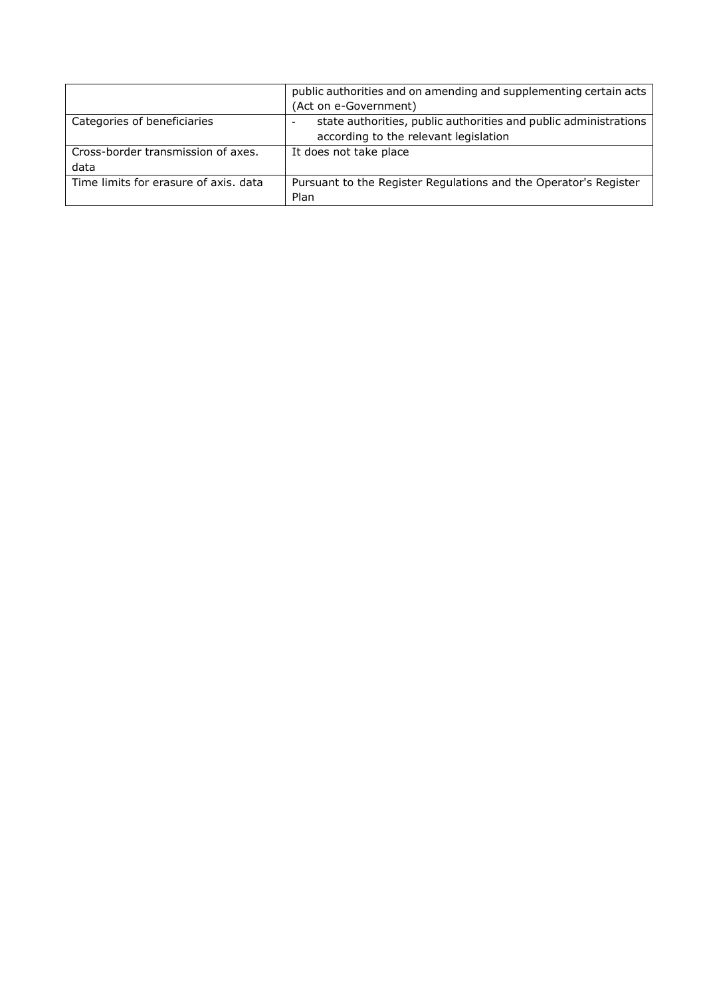|                                       | public authorities and on amending and supplementing certain acts |
|---------------------------------------|-------------------------------------------------------------------|
|                                       | (Act on e-Government)                                             |
| Categories of beneficiaries           | state authorities, public authorities and public administrations  |
|                                       | according to the relevant legislation                             |
| Cross-border transmission of axes.    | It does not take place                                            |
| data                                  |                                                                   |
| Time limits for erasure of axis, data | Pursuant to the Register Regulations and the Operator's Register  |
|                                       | Plan                                                              |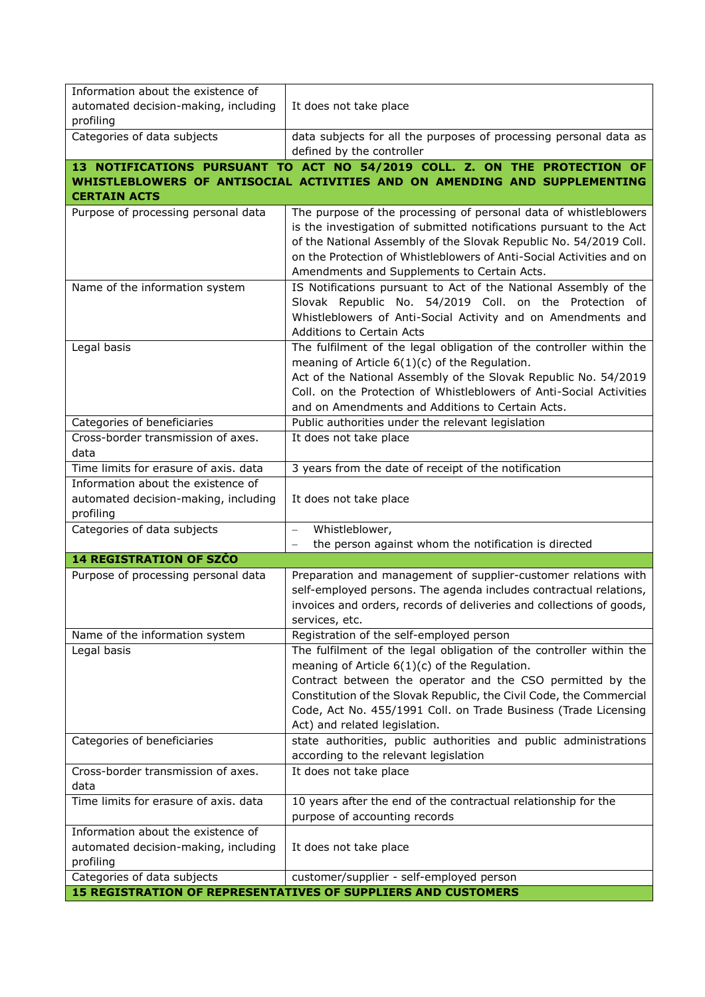| Information about the existence of                |                                                                                                                                         |
|---------------------------------------------------|-----------------------------------------------------------------------------------------------------------------------------------------|
| automated decision-making, including              | It does not take place                                                                                                                  |
| profiling                                         |                                                                                                                                         |
| Categories of data subjects                       | data subjects for all the purposes of processing personal data as                                                                       |
|                                                   | defined by the controller                                                                                                               |
|                                                   | 13 NOTIFICATIONS PURSUANT TO ACT NO 54/2019 COLL. Z. ON THE PROTECTION OF                                                               |
|                                                   | WHISTLEBLOWERS OF ANTISOCIAL ACTIVITIES AND ON AMENDING AND SUPPLEMENTING                                                               |
| <b>CERTAIN ACTS</b>                               |                                                                                                                                         |
| Purpose of processing personal data               | The purpose of the processing of personal data of whistleblowers<br>is the investigation of submitted notifications pursuant to the Act |
|                                                   | of the National Assembly of the Slovak Republic No. 54/2019 Coll.                                                                       |
|                                                   | on the Protection of Whistleblowers of Anti-Social Activities and on                                                                    |
|                                                   | Amendments and Supplements to Certain Acts.                                                                                             |
| Name of the information system                    | IS Notifications pursuant to Act of the National Assembly of the                                                                        |
|                                                   | Slovak Republic No. 54/2019 Coll. on the Protection of                                                                                  |
|                                                   | Whistleblowers of Anti-Social Activity and on Amendments and                                                                            |
|                                                   | <b>Additions to Certain Acts</b>                                                                                                        |
| Legal basis                                       | The fulfilment of the legal obligation of the controller within the                                                                     |
|                                                   | meaning of Article $6(1)(c)$ of the Regulation.                                                                                         |
|                                                   | Act of the National Assembly of the Slovak Republic No. 54/2019<br>Coll. on the Protection of Whistleblowers of Anti-Social Activities  |
|                                                   | and on Amendments and Additions to Certain Acts.                                                                                        |
| Categories of beneficiaries                       | Public authorities under the relevant legislation                                                                                       |
| Cross-border transmission of axes.                | It does not take place                                                                                                                  |
| data                                              |                                                                                                                                         |
| Time limits for erasure of axis. data             | 3 years from the date of receipt of the notification                                                                                    |
| Information about the existence of                |                                                                                                                                         |
| automated decision-making, including              | It does not take place                                                                                                                  |
| profiling<br>Categories of data subjects          | Whistleblower,                                                                                                                          |
|                                                   | the person against whom the notification is directed                                                                                    |
| <b>14 REGISTRATION OF SZČO</b>                    |                                                                                                                                         |
| Purpose of processing personal data               | Preparation and management of supplier-customer relations with                                                                          |
|                                                   | self-employed persons. The agenda includes contractual relations,                                                                       |
|                                                   | invoices and orders, records of deliveries and collections of goods,                                                                    |
|                                                   | services, etc.                                                                                                                          |
| Name of the information system                    | Registration of the self-employed person                                                                                                |
| Legal basis                                       | The fulfilment of the legal obligation of the controller within the                                                                     |
|                                                   | meaning of Article $6(1)(c)$ of the Regulation.                                                                                         |
|                                                   | Contract between the operator and the CSO permitted by the<br>Constitution of the Slovak Republic, the Civil Code, the Commercial       |
|                                                   | Code, Act No. 455/1991 Coll. on Trade Business (Trade Licensing                                                                         |
|                                                   | Act) and related legislation.                                                                                                           |
| Categories of beneficiaries                       | state authorities, public authorities and public administrations                                                                        |
|                                                   | according to the relevant legislation                                                                                                   |
| Cross-border transmission of axes.                | It does not take place                                                                                                                  |
| data                                              |                                                                                                                                         |
| Time limits for erasure of axis. data             | 10 years after the end of the contractual relationship for the                                                                          |
|                                                   | purpose of accounting records                                                                                                           |
| Information about the existence of                |                                                                                                                                         |
| automated decision-making, including<br>profiling | It does not take place                                                                                                                  |
| Categories of data subjects                       | customer/supplier - self-employed person                                                                                                |
|                                                   | <b>15 REGISTRATION OF REPRESENTATIVES OF SUPPLIERS AND CUSTOMERS</b>                                                                    |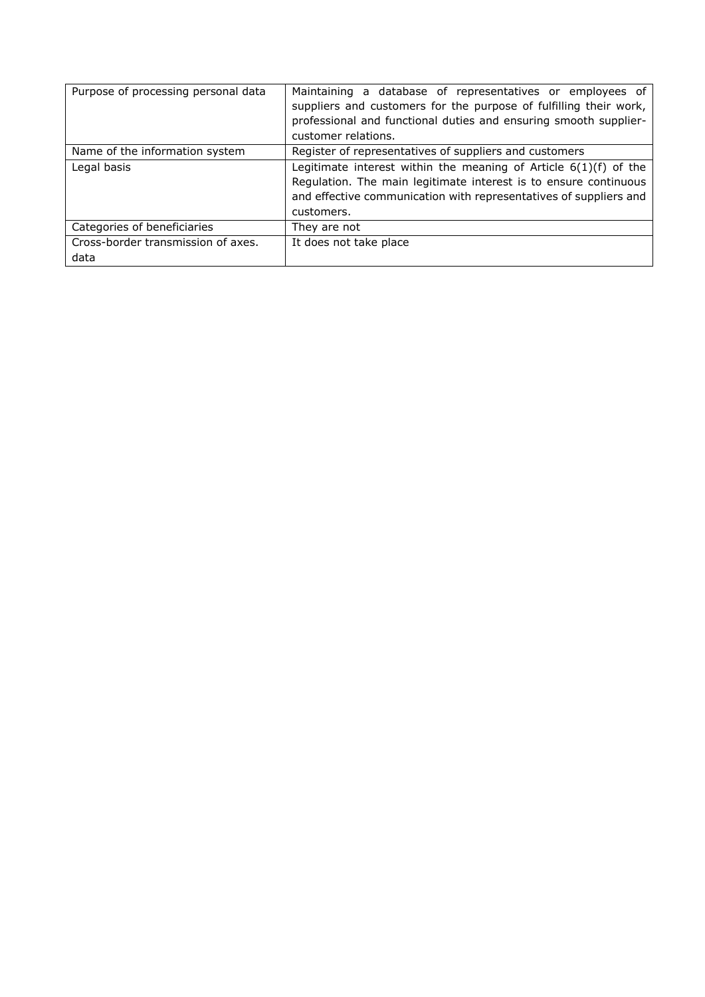| Purpose of processing personal data        | Maintaining a database of representatives or employees of<br>suppliers and customers for the purpose of fulfilling their work,<br>professional and functional duties and ensuring smooth supplier-<br>customer relations. |
|--------------------------------------------|---------------------------------------------------------------------------------------------------------------------------------------------------------------------------------------------------------------------------|
| Name of the information system             | Register of representatives of suppliers and customers                                                                                                                                                                    |
| Legal basis                                | Legitimate interest within the meaning of Article $6(1)(f)$ of the<br>Regulation. The main legitimate interest is to ensure continuous<br>and effective communication with representatives of suppliers and<br>customers. |
| Categories of beneficiaries                | They are not                                                                                                                                                                                                              |
| Cross-border transmission of axes.<br>data | It does not take place                                                                                                                                                                                                    |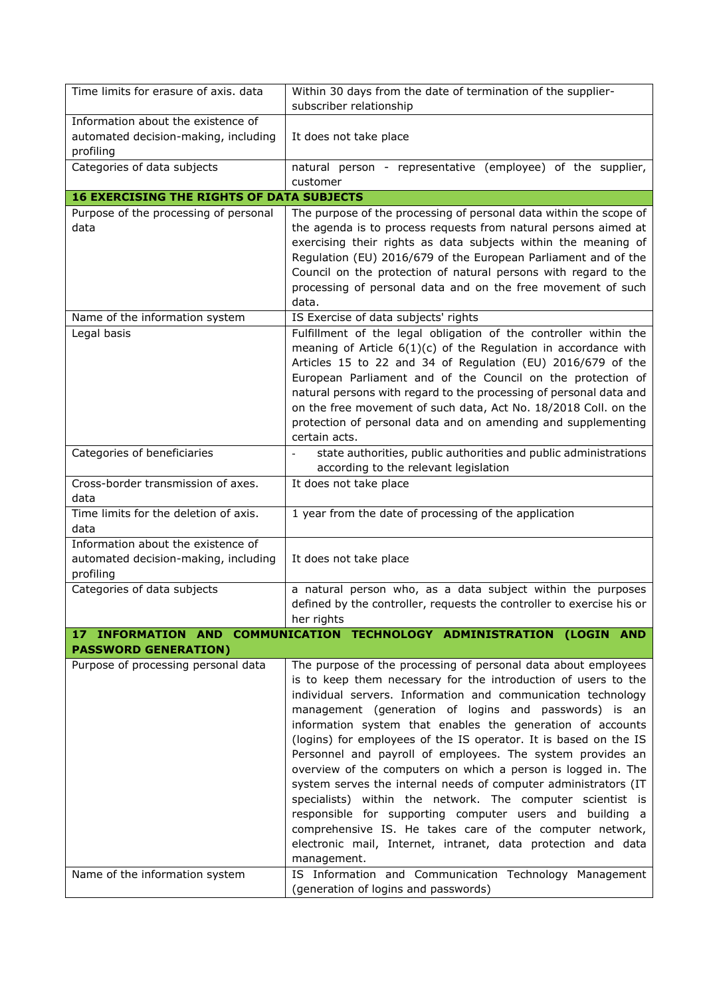| Time limits for erasure of axis. data                                                   | Within 30 days from the date of termination of the supplier-<br>subscriber relationship                                                                                                                                                                                                                                                                                                                                                                                                                                                                                                                                                                                                                                                                                                                                                                                                                                       |
|-----------------------------------------------------------------------------------------|-------------------------------------------------------------------------------------------------------------------------------------------------------------------------------------------------------------------------------------------------------------------------------------------------------------------------------------------------------------------------------------------------------------------------------------------------------------------------------------------------------------------------------------------------------------------------------------------------------------------------------------------------------------------------------------------------------------------------------------------------------------------------------------------------------------------------------------------------------------------------------------------------------------------------------|
| Information about the existence of<br>automated decision-making, including<br>profiling | It does not take place                                                                                                                                                                                                                                                                                                                                                                                                                                                                                                                                                                                                                                                                                                                                                                                                                                                                                                        |
| Categories of data subjects                                                             | natural person - representative (employee) of the supplier,<br>customer                                                                                                                                                                                                                                                                                                                                                                                                                                                                                                                                                                                                                                                                                                                                                                                                                                                       |
| <b>16 EXERCISING THE RIGHTS OF DATA SUBJECTS</b>                                        |                                                                                                                                                                                                                                                                                                                                                                                                                                                                                                                                                                                                                                                                                                                                                                                                                                                                                                                               |
| Purpose of the processing of personal                                                   | The purpose of the processing of personal data within the scope of                                                                                                                                                                                                                                                                                                                                                                                                                                                                                                                                                                                                                                                                                                                                                                                                                                                            |
| data                                                                                    | the agenda is to process requests from natural persons aimed at<br>exercising their rights as data subjects within the meaning of<br>Regulation (EU) 2016/679 of the European Parliament and of the<br>Council on the protection of natural persons with regard to the<br>processing of personal data and on the free movement of such<br>data.                                                                                                                                                                                                                                                                                                                                                                                                                                                                                                                                                                               |
| Name of the information system                                                          | IS Exercise of data subjects' rights                                                                                                                                                                                                                                                                                                                                                                                                                                                                                                                                                                                                                                                                                                                                                                                                                                                                                          |
| Legal basis                                                                             | Fulfillment of the legal obligation of the controller within the<br>meaning of Article $6(1)(c)$ of the Regulation in accordance with<br>Articles 15 to 22 and 34 of Regulation (EU) 2016/679 of the<br>European Parliament and of the Council on the protection of<br>natural persons with regard to the processing of personal data and<br>on the free movement of such data, Act No. 18/2018 Coll. on the<br>protection of personal data and on amending and supplementing<br>certain acts.                                                                                                                                                                                                                                                                                                                                                                                                                                |
| Categories of beneficiaries                                                             | state authorities, public authorities and public administrations<br>$\overline{\phantom{a}}$<br>according to the relevant legislation                                                                                                                                                                                                                                                                                                                                                                                                                                                                                                                                                                                                                                                                                                                                                                                         |
| Cross-border transmission of axes.<br>data                                              | It does not take place                                                                                                                                                                                                                                                                                                                                                                                                                                                                                                                                                                                                                                                                                                                                                                                                                                                                                                        |
| Time limits for the deletion of axis.<br>data                                           | 1 year from the date of processing of the application                                                                                                                                                                                                                                                                                                                                                                                                                                                                                                                                                                                                                                                                                                                                                                                                                                                                         |
| Information about the existence of<br>automated decision-making, including<br>profiling | It does not take place                                                                                                                                                                                                                                                                                                                                                                                                                                                                                                                                                                                                                                                                                                                                                                                                                                                                                                        |
| Categories of data subjects                                                             | a natural person who, as a data subject within the purposes<br>defined by the controller, requests the controller to exercise his or<br>her rights                                                                                                                                                                                                                                                                                                                                                                                                                                                                                                                                                                                                                                                                                                                                                                            |
| <b>PASSWORD GENERATION)</b>                                                             | 17 INFORMATION AND COMMUNICATION TECHNOLOGY ADMINISTRATION (LOGIN AND                                                                                                                                                                                                                                                                                                                                                                                                                                                                                                                                                                                                                                                                                                                                                                                                                                                         |
| Purpose of processing personal data<br>Name of the information system                   | The purpose of the processing of personal data about employees<br>is to keep them necessary for the introduction of users to the<br>individual servers. Information and communication technology<br>management (generation of logins and passwords) is an<br>information system that enables the generation of accounts<br>(logins) for employees of the IS operator. It is based on the IS<br>Personnel and payroll of employees. The system provides an<br>overview of the computers on which a person is logged in. The<br>system serves the internal needs of computer administrators (IT<br>specialists) within the network. The computer scientist is<br>responsible for supporting computer users and building a<br>comprehensive IS. He takes care of the computer network,<br>electronic mail, Internet, intranet, data protection and data<br>management.<br>IS Information and Communication Technology Management |
|                                                                                         | (generation of logins and passwords)                                                                                                                                                                                                                                                                                                                                                                                                                                                                                                                                                                                                                                                                                                                                                                                                                                                                                          |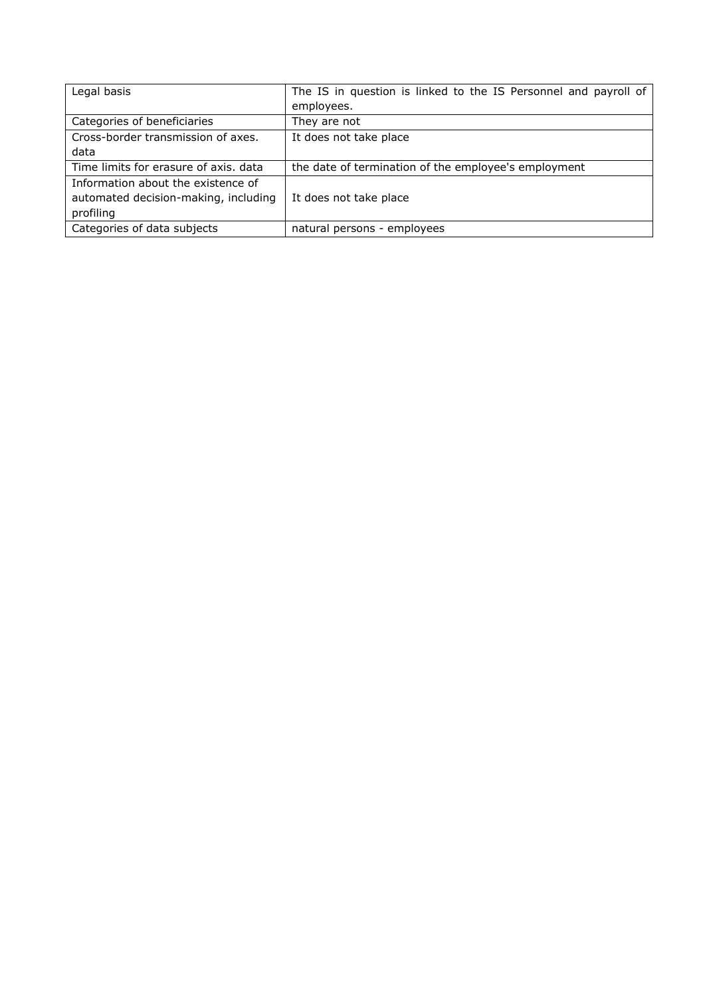| Legal basis                           | The IS in question is linked to the IS Personnel and payroll of |
|---------------------------------------|-----------------------------------------------------------------|
|                                       | employees.                                                      |
| Categories of beneficiaries           | They are not                                                    |
| Cross-border transmission of axes.    | It does not take place                                          |
| data                                  |                                                                 |
| Time limits for erasure of axis, data | the date of termination of the employee's employment            |
| Information about the existence of    |                                                                 |
| automated decision-making, including  | It does not take place                                          |
| profiling                             |                                                                 |
| Categories of data subjects           | natural persons - employees                                     |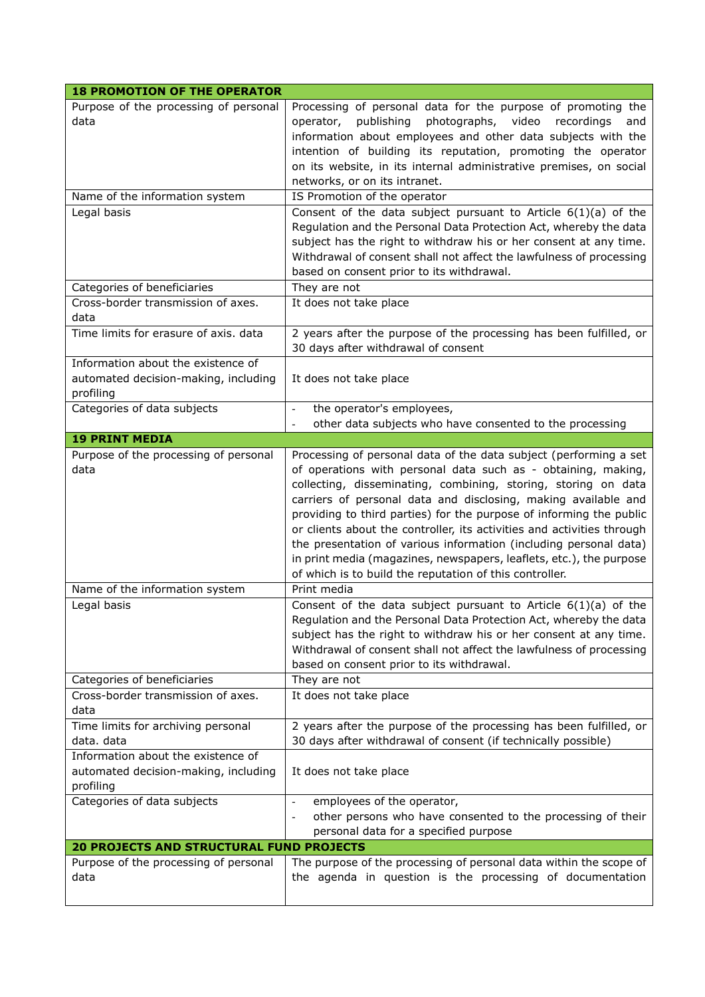| <b>18 PROMOTION OF THE OPERATOR</b>                                                     |                                                                                                                                                                                                                                                                                                                                                                                                                                                                                                                                                           |
|-----------------------------------------------------------------------------------------|-----------------------------------------------------------------------------------------------------------------------------------------------------------------------------------------------------------------------------------------------------------------------------------------------------------------------------------------------------------------------------------------------------------------------------------------------------------------------------------------------------------------------------------------------------------|
| Purpose of the processing of personal<br>data                                           | Processing of personal data for the purpose of promoting the<br>photographs, video<br>operator,<br>publishing<br>recordings<br>and<br>information about employees and other data subjects with the<br>intention of building its reputation, promoting the operator<br>on its website, in its internal administrative premises, on social<br>networks, or on its intranet.                                                                                                                                                                                 |
| Name of the information system                                                          | IS Promotion of the operator                                                                                                                                                                                                                                                                                                                                                                                                                                                                                                                              |
| Legal basis                                                                             | Consent of the data subject pursuant to Article $6(1)(a)$ of the<br>Regulation and the Personal Data Protection Act, whereby the data<br>subject has the right to withdraw his or her consent at any time.<br>Withdrawal of consent shall not affect the lawfulness of processing<br>based on consent prior to its withdrawal.                                                                                                                                                                                                                            |
| Categories of beneficiaries                                                             | They are not                                                                                                                                                                                                                                                                                                                                                                                                                                                                                                                                              |
| Cross-border transmission of axes.<br>data                                              | It does not take place                                                                                                                                                                                                                                                                                                                                                                                                                                                                                                                                    |
| Time limits for erasure of axis. data                                                   | 2 years after the purpose of the processing has been fulfilled, or<br>30 days after withdrawal of consent                                                                                                                                                                                                                                                                                                                                                                                                                                                 |
| Information about the existence of<br>automated decision-making, including<br>profiling | It does not take place                                                                                                                                                                                                                                                                                                                                                                                                                                                                                                                                    |
| Categories of data subjects                                                             | the operator's employees,<br>$\overline{a}$                                                                                                                                                                                                                                                                                                                                                                                                                                                                                                               |
| <b>19 PRINT MEDIA</b>                                                                   | other data subjects who have consented to the processing                                                                                                                                                                                                                                                                                                                                                                                                                                                                                                  |
| Purpose of the processing of personal                                                   | Processing of personal data of the data subject (performing a set                                                                                                                                                                                                                                                                                                                                                                                                                                                                                         |
| data                                                                                    | of operations with personal data such as - obtaining, making,<br>collecting, disseminating, combining, storing, storing on data<br>carriers of personal data and disclosing, making available and<br>providing to third parties) for the purpose of informing the public<br>or clients about the controller, its activities and activities through<br>the presentation of various information (including personal data)<br>in print media (magazines, newspapers, leaflets, etc.), the purpose<br>of which is to build the reputation of this controller. |
| Name of the information system                                                          | Print media                                                                                                                                                                                                                                                                                                                                                                                                                                                                                                                                               |
| Legal basis                                                                             | Consent of the data subject pursuant to Article $6(1)(a)$ of the<br>Regulation and the Personal Data Protection Act, whereby the data<br>subject has the right to withdraw his or her consent at any time.<br>Withdrawal of consent shall not affect the lawfulness of processing<br>based on consent prior to its withdrawal.                                                                                                                                                                                                                            |
| Categories of beneficiaries                                                             | They are not                                                                                                                                                                                                                                                                                                                                                                                                                                                                                                                                              |
| Cross-border transmission of axes.<br>data                                              | It does not take place                                                                                                                                                                                                                                                                                                                                                                                                                                                                                                                                    |
| Time limits for archiving personal                                                      | 2 years after the purpose of the processing has been fulfilled, or                                                                                                                                                                                                                                                                                                                                                                                                                                                                                        |
| data. data<br>Information about the existence of                                        | 30 days after withdrawal of consent (if technically possible)                                                                                                                                                                                                                                                                                                                                                                                                                                                                                             |
| automated decision-making, including<br>profiling                                       | It does not take place                                                                                                                                                                                                                                                                                                                                                                                                                                                                                                                                    |
| Categories of data subjects                                                             | employees of the operator,<br>other persons who have consented to the processing of their<br>personal data for a specified purpose                                                                                                                                                                                                                                                                                                                                                                                                                        |
| <b>20 PROJECTS AND STRUCTURAL FUND PROJECTS</b>                                         |                                                                                                                                                                                                                                                                                                                                                                                                                                                                                                                                                           |
| Purpose of the processing of personal<br>data                                           | The purpose of the processing of personal data within the scope of<br>the agenda in question is the processing of documentation                                                                                                                                                                                                                                                                                                                                                                                                                           |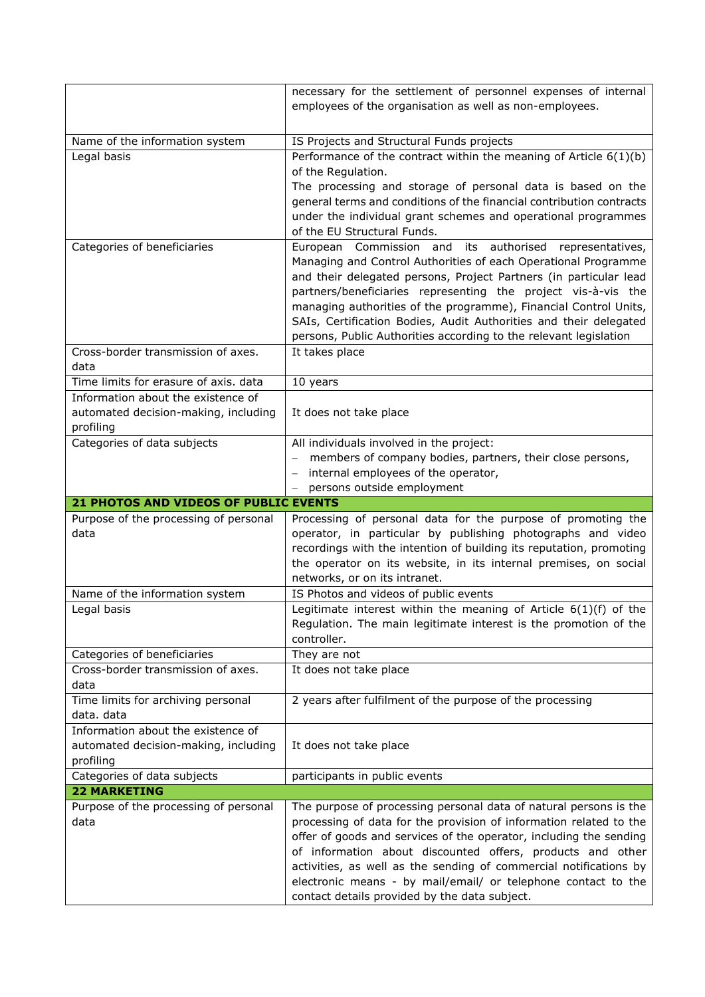|                                                                             | necessary for the settlement of personnel expenses of internal                                                                         |
|-----------------------------------------------------------------------------|----------------------------------------------------------------------------------------------------------------------------------------|
|                                                                             | employees of the organisation as well as non-employees.                                                                                |
|                                                                             |                                                                                                                                        |
| Name of the information system                                              | IS Projects and Structural Funds projects                                                                                              |
| Legal basis                                                                 | Performance of the contract within the meaning of Article $6(1)(b)$                                                                    |
|                                                                             | of the Regulation.                                                                                                                     |
|                                                                             | The processing and storage of personal data is based on the                                                                            |
|                                                                             | general terms and conditions of the financial contribution contracts                                                                   |
|                                                                             | under the individual grant schemes and operational programmes<br>of the EU Structural Funds.                                           |
| Categories of beneficiaries                                                 | European Commission and<br>its authorised representatives,                                                                             |
|                                                                             | Managing and Control Authorities of each Operational Programme                                                                         |
|                                                                             | and their delegated persons, Project Partners (in particular lead                                                                      |
|                                                                             | partners/beneficiaries representing the project vis-à-vis the                                                                          |
|                                                                             | managing authorities of the programme), Financial Control Units,                                                                       |
|                                                                             | SAIs, Certification Bodies, Audit Authorities and their delegated                                                                      |
|                                                                             | persons, Public Authorities according to the relevant legislation                                                                      |
| Cross-border transmission of axes.                                          | It takes place                                                                                                                         |
| data                                                                        |                                                                                                                                        |
| Time limits for erasure of axis. data<br>Information about the existence of | 10 years                                                                                                                               |
| automated decision-making, including                                        | It does not take place                                                                                                                 |
| profiling                                                                   |                                                                                                                                        |
| Categories of data subjects                                                 | All individuals involved in the project:                                                                                               |
|                                                                             | members of company bodies, partners, their close persons,                                                                              |
|                                                                             | internal employees of the operator,                                                                                                    |
|                                                                             | persons outside employment                                                                                                             |
|                                                                             |                                                                                                                                        |
| 21 PHOTOS AND VIDEOS OF PUBLIC EVENTS                                       |                                                                                                                                        |
| Purpose of the processing of personal                                       | Processing of personal data for the purpose of promoting the                                                                           |
| data                                                                        | operator, in particular by publishing photographs and video                                                                            |
|                                                                             | recordings with the intention of building its reputation, promoting                                                                    |
|                                                                             | the operator on its website, in its internal premises, on social                                                                       |
|                                                                             | networks, or on its intranet.                                                                                                          |
| Name of the information system                                              | IS Photos and videos of public events                                                                                                  |
| Legal basis                                                                 | Legitimate interest within the meaning of Article $6(1)(f)$ of the<br>Regulation. The main legitimate interest is the promotion of the |
|                                                                             | controller.                                                                                                                            |
| Categories of beneficiaries                                                 | They are not                                                                                                                           |
| Cross-border transmission of axes.                                          | It does not take place                                                                                                                 |
| data                                                                        |                                                                                                                                        |
| Time limits for archiving personal                                          | 2 years after fulfilment of the purpose of the processing                                                                              |
| data. data                                                                  |                                                                                                                                        |
| Information about the existence of                                          |                                                                                                                                        |
| automated decision-making, including                                        | It does not take place                                                                                                                 |
| profiling                                                                   |                                                                                                                                        |
| Categories of data subjects<br><b>22 MARKETING</b>                          | participants in public events                                                                                                          |
| Purpose of the processing of personal                                       | The purpose of processing personal data of natural persons is the                                                                      |
| data                                                                        | processing of data for the provision of information related to the                                                                     |
|                                                                             | offer of goods and services of the operator, including the sending                                                                     |
|                                                                             | of information about discounted offers, products and other                                                                             |
|                                                                             | activities, as well as the sending of commercial notifications by                                                                      |
|                                                                             | electronic means - by mail/email/ or telephone contact to the<br>contact details provided by the data subject.                         |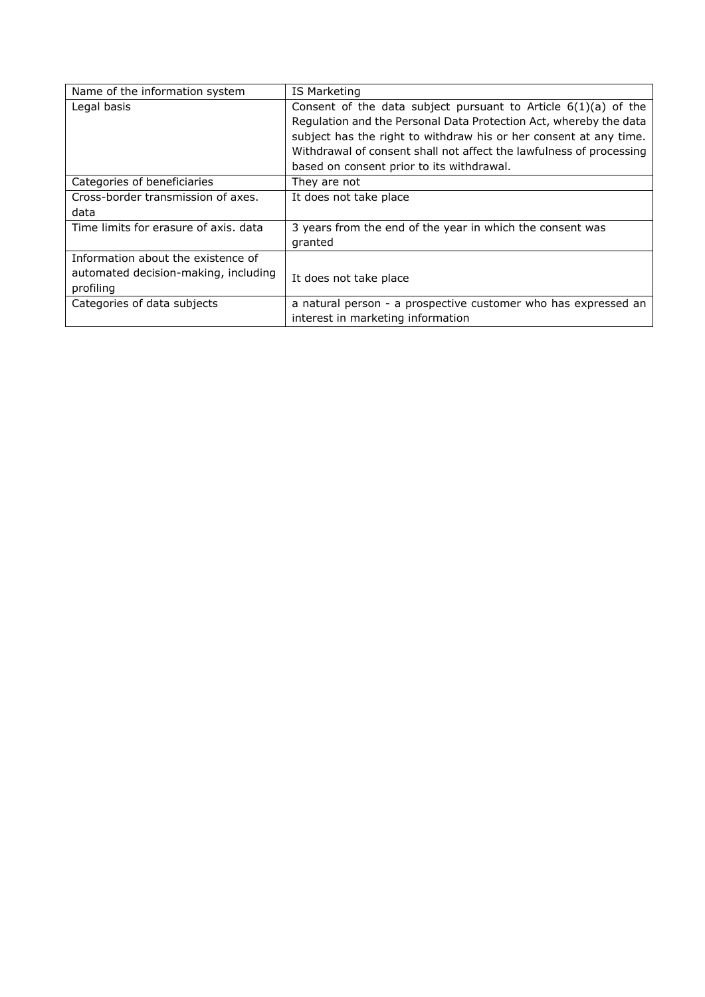| Name of the information system        | IS Marketing                                                        |
|---------------------------------------|---------------------------------------------------------------------|
| Legal basis                           | Consent of the data subject pursuant to Article $6(1)(a)$ of the    |
|                                       | Regulation and the Personal Data Protection Act, whereby the data   |
|                                       | subject has the right to withdraw his or her consent at any time.   |
|                                       | Withdrawal of consent shall not affect the lawfulness of processing |
|                                       | based on consent prior to its withdrawal.                           |
| Categories of beneficiaries           | They are not                                                        |
| Cross-border transmission of axes.    | It does not take place                                              |
| data                                  |                                                                     |
| Time limits for erasure of axis, data | 3 years from the end of the year in which the consent was           |
|                                       | granted                                                             |
| Information about the existence of    |                                                                     |
| automated decision-making, including  | It does not take place                                              |
| profiling                             |                                                                     |
| Categories of data subjects           | a natural person - a prospective customer who has expressed an      |
|                                       | interest in marketing information                                   |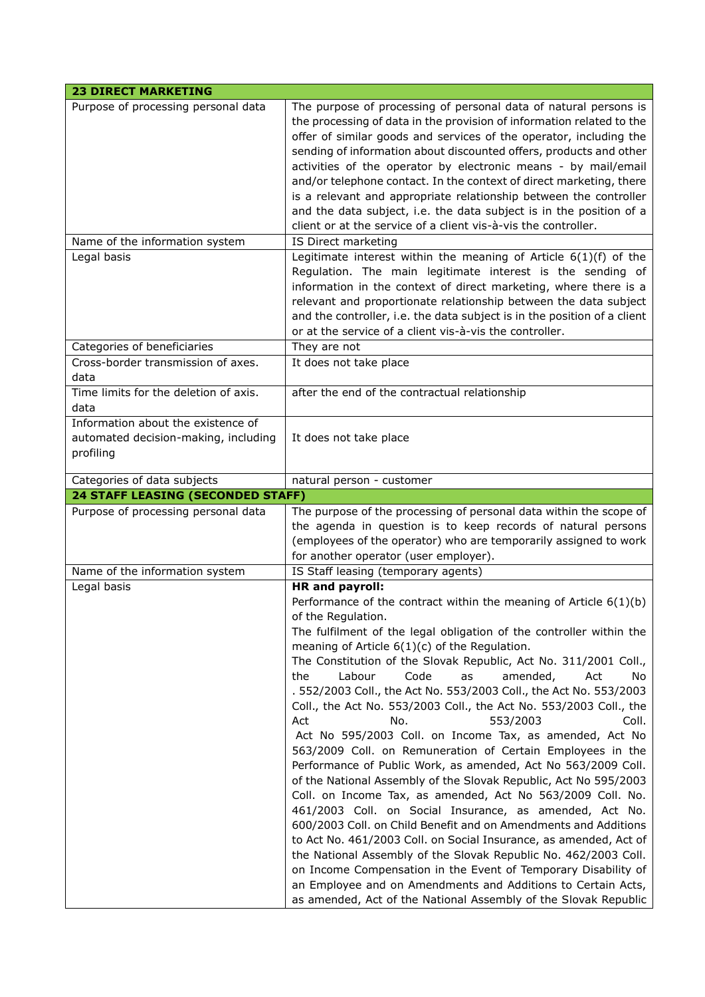| Purpose of processing personal data                                                     | The purpose of processing of personal data of natural persons is<br>the processing of data in the provision of information related to the<br>offer of similar goods and services of the operator, including the<br>sending of information about discounted offers, products and other<br>activities of the operator by electronic means - by mail/email<br>and/or telephone contact. In the context of direct marketing, there<br>is a relevant and appropriate relationship between the controller<br>and the data subject, i.e. the data subject is in the position of a<br>client or at the service of a client vis-à-vis the controller. |
|-----------------------------------------------------------------------------------------|----------------------------------------------------------------------------------------------------------------------------------------------------------------------------------------------------------------------------------------------------------------------------------------------------------------------------------------------------------------------------------------------------------------------------------------------------------------------------------------------------------------------------------------------------------------------------------------------------------------------------------------------|
| Name of the information system                                                          | IS Direct marketing                                                                                                                                                                                                                                                                                                                                                                                                                                                                                                                                                                                                                          |
| Legal basis                                                                             | Legitimate interest within the meaning of Article $6(1)(f)$ of the<br>Regulation. The main legitimate interest is the sending of<br>information in the context of direct marketing, where there is a<br>relevant and proportionate relationship between the data subject<br>and the controller, i.e. the data subject is in the position of a client<br>or at the service of a client vis-à-vis the controller.                                                                                                                                                                                                                              |
| Categories of beneficiaries                                                             | They are not                                                                                                                                                                                                                                                                                                                                                                                                                                                                                                                                                                                                                                 |
| Cross-border transmission of axes.<br>data                                              | It does not take place                                                                                                                                                                                                                                                                                                                                                                                                                                                                                                                                                                                                                       |
| Time limits for the deletion of axis.<br>data                                           | after the end of the contractual relationship                                                                                                                                                                                                                                                                                                                                                                                                                                                                                                                                                                                                |
| Information about the existence of<br>automated decision-making, including<br>profiling | It does not take place                                                                                                                                                                                                                                                                                                                                                                                                                                                                                                                                                                                                                       |
| Categories of data subjects                                                             | natural person - customer                                                                                                                                                                                                                                                                                                                                                                                                                                                                                                                                                                                                                    |
| <b>24 STAFF LEASING (SECONDED STAFF)</b>                                                |                                                                                                                                                                                                                                                                                                                                                                                                                                                                                                                                                                                                                                              |
| Purpose of processing personal data                                                     | The purpose of the processing of personal data within the scope of                                                                                                                                                                                                                                                                                                                                                                                                                                                                                                                                                                           |
|                                                                                         | the agenda in question is to keep records of natural persons<br>(employees of the operator) who are temporarily assigned to work<br>for another operator (user employer).                                                                                                                                                                                                                                                                                                                                                                                                                                                                    |
| Name of the information system<br>Legal basis                                           | IS Staff leasing (temporary agents)<br><b>HR</b> and payroll:                                                                                                                                                                                                                                                                                                                                                                                                                                                                                                                                                                                |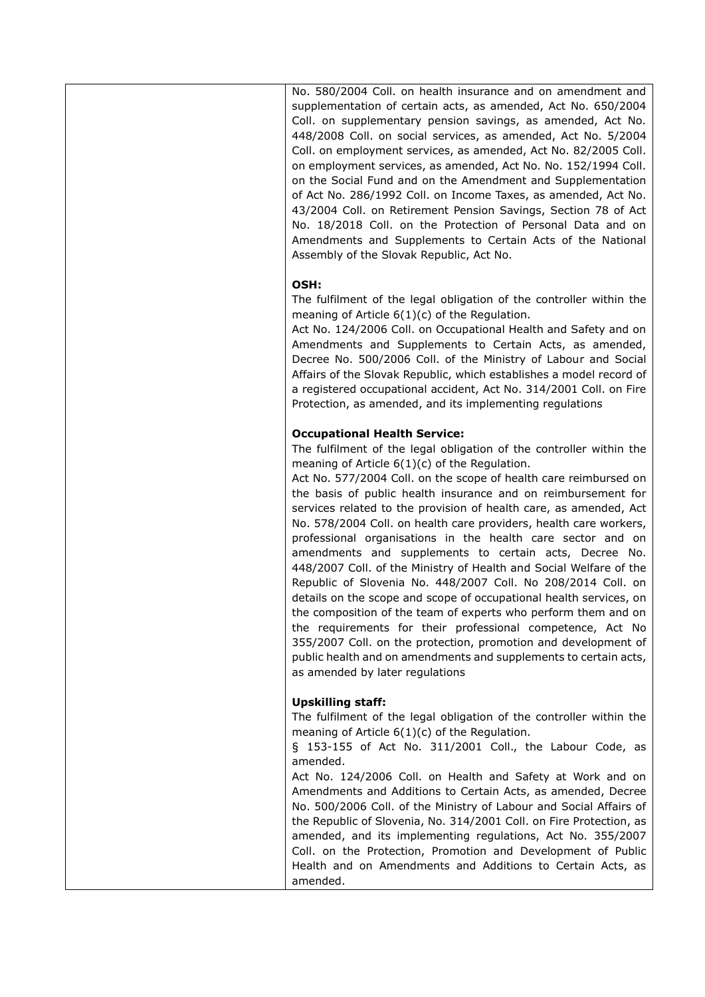No. 580/2004 Coll. on health insurance and on amendment and supplementation of certain acts, as amended, Act No. 650/2004 Coll. on supplementary pension savings, as amended, Act No. 448/2008 Coll. on social services, as amended, Act No. 5/2004 Coll. on employment services, as amended, Act No. 82/2005 Coll. on employment services, as amended, Act No. No. 152/1994 Coll. on the Social Fund and on the Amendment and Supplementation of Act No. 286/1992 Coll. on Income Taxes, as amended, Act No. 43/2004 Coll. on Retirement Pension Savings, Section 78 of Act No. 18/2018 Coll. on the Protection of Personal Data and on Amendments and Supplements to Certain Acts of the National Assembly of the Slovak Republic, Act No.

## **OSH:**

The fulfilment of the legal obligation of the controller within the meaning of Article 6(1)(c) of the Regulation.

Act No. 124/2006 Coll. on Occupational Health and Safety and on Amendments and Supplements to Certain Acts, as amended, Decree No. 500/2006 Coll. of the Ministry of Labour and Social Affairs of the Slovak Republic, which establishes a model record of a registered occupational accident, Act No. 314/2001 Coll. on Fire Protection, as amended, and its implementing regulations

## **Occupational Health Service:**

The fulfilment of the legal obligation of the controller within the meaning of Article 6(1)(c) of the Regulation.

Act No. 577/2004 Coll. on the scope of health care reimbursed on the basis of public health insurance and on reimbursement for services related to the provision of health care, as amended, Act No. 578/2004 Coll. on health care providers, health care workers, professional organisations in the health care sector and on amendments and supplements to certain acts, Decree No. 448/2007 Coll. of the Ministry of Health and Social Welfare of the Republic of Slovenia No. 448/2007 Coll. No 208/2014 Coll. on details on the scope and scope of occupational health services, on the composition of the team of experts who perform them and on the requirements for their professional competence, Act No 355/2007 Coll. on the protection, promotion and development of public health and on amendments and supplements to certain acts, as amended by later regulations

## **Upskilling staff:**

The fulfilment of the legal obligation of the controller within the meaning of Article 6(1)(c) of the Regulation.

§ 153-155 of Act No. 311/2001 Coll., the Labour Code, as amended.

Act No. 124/2006 Coll. on Health and Safety at Work and on Amendments and Additions to Certain Acts, as amended, Decree No. 500/2006 Coll. of the Ministry of Labour and Social Affairs of the Republic of Slovenia, No. 314/2001 Coll. on Fire Protection, as amended, and its implementing regulations, Act No. 355/2007 Coll. on the Protection, Promotion and Development of Public Health and on Amendments and Additions to Certain Acts, as amended.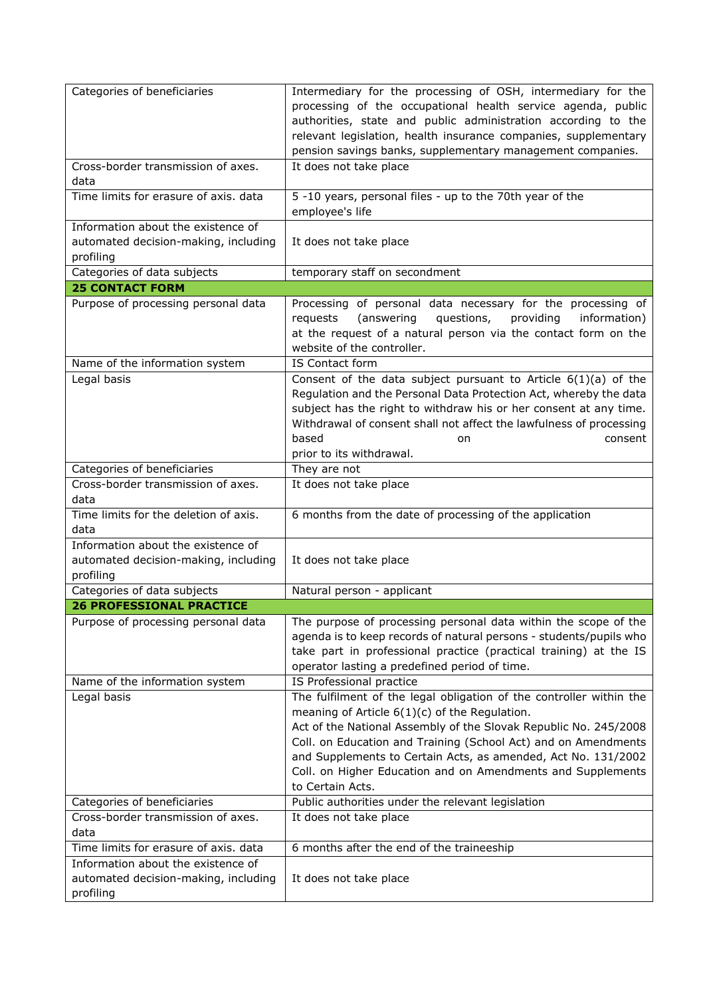| Categories of beneficiaries                                                             | Intermediary for the processing of OSH, intermediary for the<br>processing of the occupational health service agenda, public<br>authorities, state and public administration according to the<br>relevant legislation, health insurance companies, supplementary<br>pension savings banks, supplementary management companies.                                                                                   |
|-----------------------------------------------------------------------------------------|------------------------------------------------------------------------------------------------------------------------------------------------------------------------------------------------------------------------------------------------------------------------------------------------------------------------------------------------------------------------------------------------------------------|
| Cross-border transmission of axes.<br>data                                              | It does not take place                                                                                                                                                                                                                                                                                                                                                                                           |
| Time limits for erasure of axis. data                                                   | 5 -10 years, personal files - up to the 70th year of the<br>employee's life                                                                                                                                                                                                                                                                                                                                      |
| Information about the existence of<br>automated decision-making, including<br>profiling | It does not take place                                                                                                                                                                                                                                                                                                                                                                                           |
| Categories of data subjects<br><b>25 CONTACT FORM</b>                                   | temporary staff on secondment                                                                                                                                                                                                                                                                                                                                                                                    |
| Purpose of processing personal data                                                     | Processing of personal data necessary for the processing of                                                                                                                                                                                                                                                                                                                                                      |
|                                                                                         | (answering<br>questions,<br>providing<br>information)<br>requests<br>at the request of a natural person via the contact form on the<br>website of the controller.                                                                                                                                                                                                                                                |
| Name of the information system                                                          | IS Contact form                                                                                                                                                                                                                                                                                                                                                                                                  |
| Legal basis                                                                             | Consent of the data subject pursuant to Article $6(1)(a)$ of the<br>Regulation and the Personal Data Protection Act, whereby the data<br>subject has the right to withdraw his or her consent at any time.<br>Withdrawal of consent shall not affect the lawfulness of processing<br>based<br>consent<br>on<br>prior to its withdrawal.                                                                          |
| Categories of beneficiaries                                                             | They are not                                                                                                                                                                                                                                                                                                                                                                                                     |
| Cross-border transmission of axes.<br>data                                              | It does not take place                                                                                                                                                                                                                                                                                                                                                                                           |
| Time limits for the deletion of axis.<br>data                                           | 6 months from the date of processing of the application                                                                                                                                                                                                                                                                                                                                                          |
| Information about the existence of<br>automated decision-making, including<br>profiling | It does not take place                                                                                                                                                                                                                                                                                                                                                                                           |
| Categories of data subjects                                                             | Natural person - applicant                                                                                                                                                                                                                                                                                                                                                                                       |
| <b>26 PROFESSIONAL PRACTICE</b>                                                         |                                                                                                                                                                                                                                                                                                                                                                                                                  |
| Purpose of processing personal data                                                     | The purpose of processing personal data within the scope of the<br>agenda is to keep records of natural persons - students/pupils who<br>take part in professional practice (practical training) at the IS<br>operator lasting a predefined period of time.                                                                                                                                                      |
| Name of the information system                                                          | IS Professional practice                                                                                                                                                                                                                                                                                                                                                                                         |
| Legal basis                                                                             | The fulfilment of the legal obligation of the controller within the<br>meaning of Article $6(1)(c)$ of the Regulation.<br>Act of the National Assembly of the Slovak Republic No. 245/2008<br>Coll. on Education and Training (School Act) and on Amendments<br>and Supplements to Certain Acts, as amended, Act No. 131/2002<br>Coll. on Higher Education and on Amendments and Supplements<br>to Certain Acts. |
| Categories of beneficiaries                                                             | Public authorities under the relevant legislation                                                                                                                                                                                                                                                                                                                                                                |
| Cross-border transmission of axes.<br>data                                              | It does not take place                                                                                                                                                                                                                                                                                                                                                                                           |
| Time limits for erasure of axis. data                                                   | 6 months after the end of the traineeship                                                                                                                                                                                                                                                                                                                                                                        |
| Information about the existence of<br>automated decision-making, including<br>profiling | It does not take place                                                                                                                                                                                                                                                                                                                                                                                           |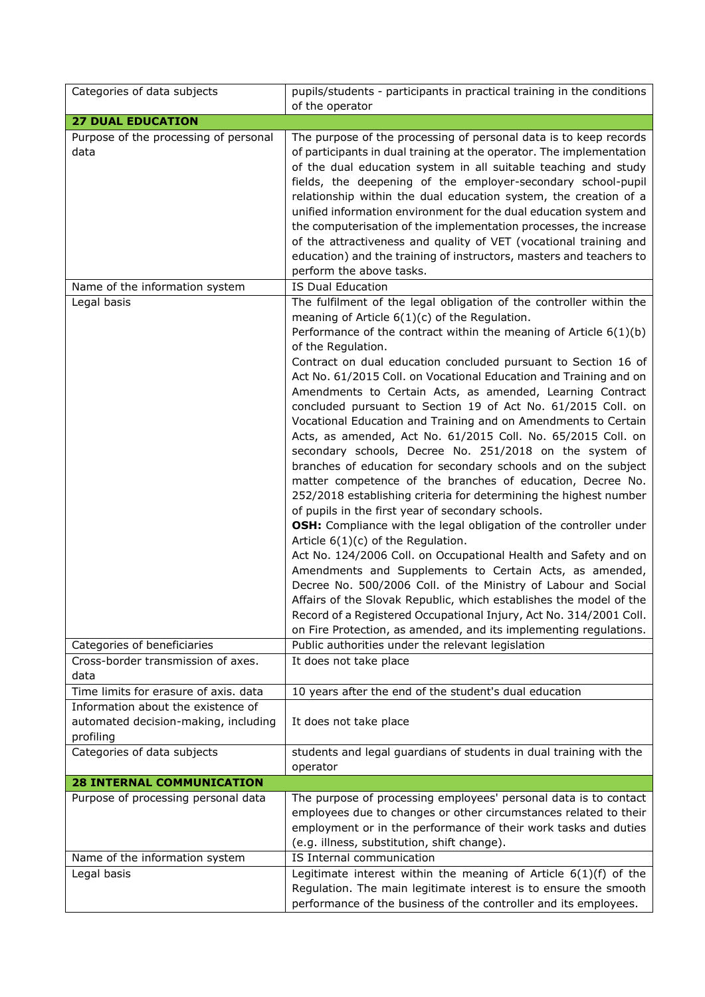| Categories of data subjects                                                             | pupils/students - participants in practical training in the conditions                                                                                                                                                                                                                                                                                                                                                                                                                                                                                                                                                                                                                                                                                                                                                                                                                                                                                                                                                                                                                                                                                                                                                                                                                                                                                                                                                                                                       |
|-----------------------------------------------------------------------------------------|------------------------------------------------------------------------------------------------------------------------------------------------------------------------------------------------------------------------------------------------------------------------------------------------------------------------------------------------------------------------------------------------------------------------------------------------------------------------------------------------------------------------------------------------------------------------------------------------------------------------------------------------------------------------------------------------------------------------------------------------------------------------------------------------------------------------------------------------------------------------------------------------------------------------------------------------------------------------------------------------------------------------------------------------------------------------------------------------------------------------------------------------------------------------------------------------------------------------------------------------------------------------------------------------------------------------------------------------------------------------------------------------------------------------------------------------------------------------------|
|                                                                                         | of the operator                                                                                                                                                                                                                                                                                                                                                                                                                                                                                                                                                                                                                                                                                                                                                                                                                                                                                                                                                                                                                                                                                                                                                                                                                                                                                                                                                                                                                                                              |
| <b>27 DUAL EDUCATION</b><br>Purpose of the processing of personal                       | The purpose of the processing of personal data is to keep records                                                                                                                                                                                                                                                                                                                                                                                                                                                                                                                                                                                                                                                                                                                                                                                                                                                                                                                                                                                                                                                                                                                                                                                                                                                                                                                                                                                                            |
| data                                                                                    | of participants in dual training at the operator. The implementation<br>of the dual education system in all suitable teaching and study<br>fields, the deepening of the employer-secondary school-pupil<br>relationship within the dual education system, the creation of a<br>unified information environment for the dual education system and                                                                                                                                                                                                                                                                                                                                                                                                                                                                                                                                                                                                                                                                                                                                                                                                                                                                                                                                                                                                                                                                                                                             |
|                                                                                         | the computerisation of the implementation processes, the increase<br>of the attractiveness and quality of VET (vocational training and<br>education) and the training of instructors, masters and teachers to<br>perform the above tasks.                                                                                                                                                                                                                                                                                                                                                                                                                                                                                                                                                                                                                                                                                                                                                                                                                                                                                                                                                                                                                                                                                                                                                                                                                                    |
| Name of the information system                                                          | <b>IS Dual Education</b>                                                                                                                                                                                                                                                                                                                                                                                                                                                                                                                                                                                                                                                                                                                                                                                                                                                                                                                                                                                                                                                                                                                                                                                                                                                                                                                                                                                                                                                     |
| Legal basis                                                                             | The fulfilment of the legal obligation of the controller within the<br>meaning of Article $6(1)(c)$ of the Regulation.<br>Performance of the contract within the meaning of Article $6(1)(b)$<br>of the Regulation.<br>Contract on dual education concluded pursuant to Section 16 of<br>Act No. 61/2015 Coll. on Vocational Education and Training and on<br>Amendments to Certain Acts, as amended, Learning Contract<br>concluded pursuant to Section 19 of Act No. 61/2015 Coll. on<br>Vocational Education and Training and on Amendments to Certain<br>Acts, as amended, Act No. 61/2015 Coll. No. 65/2015 Coll. on<br>secondary schools, Decree No. 251/2018 on the system of<br>branches of education for secondary schools and on the subject<br>matter competence of the branches of education, Decree No.<br>252/2018 establishing criteria for determining the highest number<br>of pupils in the first year of secondary schools.<br>OSH: Compliance with the legal obligation of the controller under<br>Article $6(1)(c)$ of the Regulation.<br>Act No. 124/2006 Coll. on Occupational Health and Safety and on<br>Amendments and Supplements to Certain Acts, as amended,<br>Decree No. 500/2006 Coll. of the Ministry of Labour and Social<br>Affairs of the Slovak Republic, which establishes the model of the<br>Record of a Registered Occupational Injury, Act No. 314/2001 Coll.<br>on Fire Protection, as amended, and its implementing regulations. |
| Categories of beneficiaries                                                             | Public authorities under the relevant legislation                                                                                                                                                                                                                                                                                                                                                                                                                                                                                                                                                                                                                                                                                                                                                                                                                                                                                                                                                                                                                                                                                                                                                                                                                                                                                                                                                                                                                            |
| Cross-border transmission of axes.<br>data                                              | It does not take place                                                                                                                                                                                                                                                                                                                                                                                                                                                                                                                                                                                                                                                                                                                                                                                                                                                                                                                                                                                                                                                                                                                                                                                                                                                                                                                                                                                                                                                       |
| Time limits for erasure of axis. data                                                   | 10 years after the end of the student's dual education                                                                                                                                                                                                                                                                                                                                                                                                                                                                                                                                                                                                                                                                                                                                                                                                                                                                                                                                                                                                                                                                                                                                                                                                                                                                                                                                                                                                                       |
| Information about the existence of<br>automated decision-making, including<br>profiling | It does not take place                                                                                                                                                                                                                                                                                                                                                                                                                                                                                                                                                                                                                                                                                                                                                                                                                                                                                                                                                                                                                                                                                                                                                                                                                                                                                                                                                                                                                                                       |
| Categories of data subjects                                                             | students and legal guardians of students in dual training with the<br>operator                                                                                                                                                                                                                                                                                                                                                                                                                                                                                                                                                                                                                                                                                                                                                                                                                                                                                                                                                                                                                                                                                                                                                                                                                                                                                                                                                                                               |
| <b>28 INTERNAL COMMUNICATION</b>                                                        |                                                                                                                                                                                                                                                                                                                                                                                                                                                                                                                                                                                                                                                                                                                                                                                                                                                                                                                                                                                                                                                                                                                                                                                                                                                                                                                                                                                                                                                                              |
| Purpose of processing personal data                                                     | The purpose of processing employees' personal data is to contact<br>employees due to changes or other circumstances related to their<br>employment or in the performance of their work tasks and duties<br>(e.g. illness, substitution, shift change).                                                                                                                                                                                                                                                                                                                                                                                                                                                                                                                                                                                                                                                                                                                                                                                                                                                                                                                                                                                                                                                                                                                                                                                                                       |
| Name of the information system                                                          | IS Internal communication                                                                                                                                                                                                                                                                                                                                                                                                                                                                                                                                                                                                                                                                                                                                                                                                                                                                                                                                                                                                                                                                                                                                                                                                                                                                                                                                                                                                                                                    |
| Legal basis                                                                             | Legitimate interest within the meaning of Article $6(1)(f)$ of the<br>Regulation. The main legitimate interest is to ensure the smooth<br>performance of the business of the controller and its employees.                                                                                                                                                                                                                                                                                                                                                                                                                                                                                                                                                                                                                                                                                                                                                                                                                                                                                                                                                                                                                                                                                                                                                                                                                                                                   |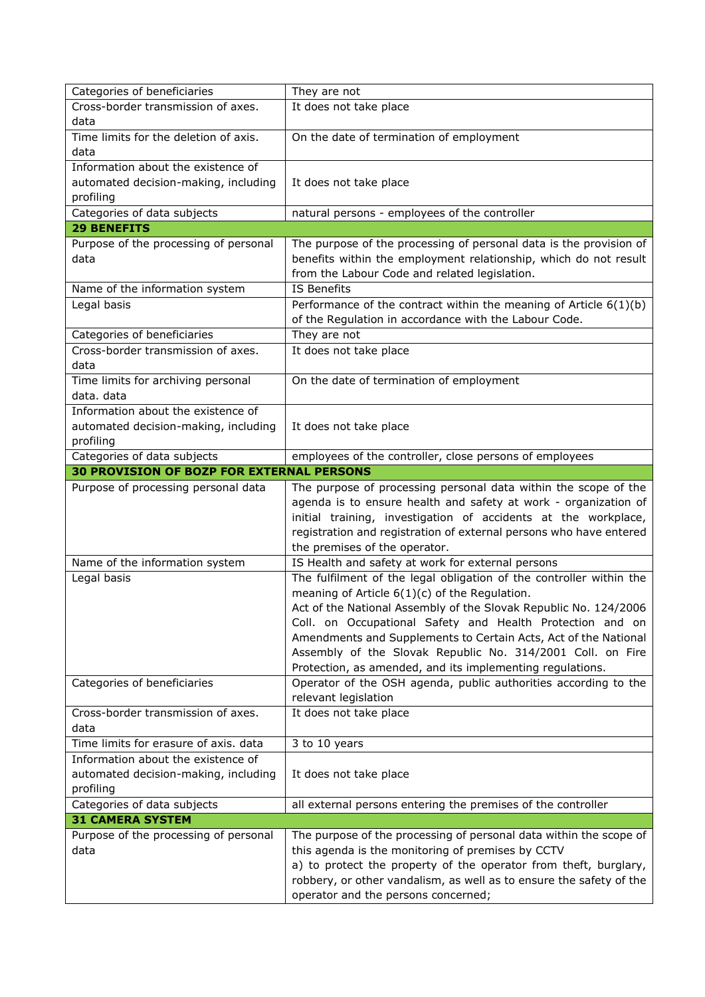| Categories of beneficiaries                            | They are not                                                                                                                            |
|--------------------------------------------------------|-----------------------------------------------------------------------------------------------------------------------------------------|
| Cross-border transmission of axes.                     | It does not take place                                                                                                                  |
| data                                                   |                                                                                                                                         |
| Time limits for the deletion of axis.                  | On the date of termination of employment                                                                                                |
| data                                                   |                                                                                                                                         |
| Information about the existence of                     |                                                                                                                                         |
| automated decision-making, including                   | It does not take place                                                                                                                  |
| profiling                                              |                                                                                                                                         |
| Categories of data subjects                            | natural persons - employees of the controller                                                                                           |
| <b>29 BENEFITS</b>                                     |                                                                                                                                         |
| Purpose of the processing of personal                  | The purpose of the processing of personal data is the provision of                                                                      |
| data                                                   | benefits within the employment relationship, which do not result                                                                        |
|                                                        | from the Labour Code and related legislation.                                                                                           |
| Name of the information system                         | <b>IS Benefits</b>                                                                                                                      |
| Legal basis                                            | Performance of the contract within the meaning of Article $6(1)(b)$                                                                     |
|                                                        | of the Regulation in accordance with the Labour Code.                                                                                   |
| Categories of beneficiaries                            | They are not                                                                                                                            |
| Cross-border transmission of axes.                     | It does not take place                                                                                                                  |
| data                                                   |                                                                                                                                         |
| Time limits for archiving personal                     | On the date of termination of employment                                                                                                |
| data, data                                             |                                                                                                                                         |
| Information about the existence of                     |                                                                                                                                         |
| automated decision-making, including                   | It does not take place                                                                                                                  |
| profiling                                              |                                                                                                                                         |
| Categories of data subjects                            | employees of the controller, close persons of employees                                                                                 |
| <b>30 PROVISION OF BOZP FOR EXTERNAL PERSONS</b>       |                                                                                                                                         |
| Purpose of processing personal data                    | The purpose of processing personal data within the scope of the                                                                         |
|                                                        |                                                                                                                                         |
|                                                        | agenda is to ensure health and safety at work - organization of                                                                         |
|                                                        | initial training, investigation of accidents at the workplace,                                                                          |
|                                                        | registration and registration of external persons who have entered                                                                      |
|                                                        | the premises of the operator.                                                                                                           |
| Name of the information system                         | IS Health and safety at work for external persons                                                                                       |
| Legal basis                                            | The fulfilment of the legal obligation of the controller within the                                                                     |
|                                                        | meaning of Article $6(1)(c)$ of the Regulation.                                                                                         |
|                                                        | Act of the National Assembly of the Slovak Republic No. 124/2006                                                                        |
|                                                        | Coll. on Occupational Safety and Health Protection and on                                                                               |
|                                                        | Amendments and Supplements to Certain Acts, Act of the National                                                                         |
|                                                        | Assembly of the Slovak Republic No. 314/2001 Coll. on Fire                                                                              |
|                                                        | Protection, as amended, and its implementing regulations.                                                                               |
| Categories of beneficiaries                            | Operator of the OSH agenda, public authorities according to the                                                                         |
|                                                        | relevant legislation                                                                                                                    |
| Cross-border transmission of axes.                     | It does not take place                                                                                                                  |
| data                                                   |                                                                                                                                         |
| Time limits for erasure of axis. data                  | 3 to 10 years                                                                                                                           |
| Information about the existence of                     |                                                                                                                                         |
| automated decision-making, including                   | It does not take place                                                                                                                  |
| profiling                                              |                                                                                                                                         |
| Categories of data subjects<br><b>31 CAMERA SYSTEM</b> | all external persons entering the premises of the controller                                                                            |
| Purpose of the processing of personal                  | The purpose of the processing of personal data within the scope of                                                                      |
| data                                                   | this agenda is the monitoring of premises by CCTV                                                                                       |
|                                                        |                                                                                                                                         |
|                                                        | a) to protect the property of the operator from theft, burglary,<br>robbery, or other vandalism, as well as to ensure the safety of the |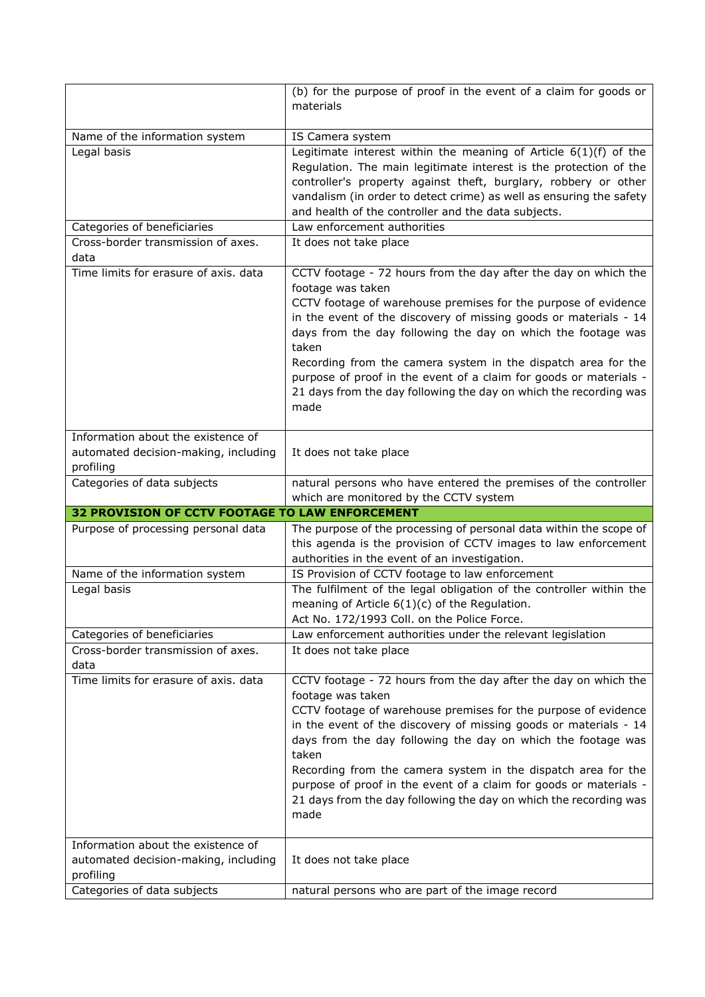|                                                                   | (b) for the purpose of proof in the event of a claim for goods or<br>materials |
|-------------------------------------------------------------------|--------------------------------------------------------------------------------|
|                                                                   |                                                                                |
| Name of the information system                                    | IS Camera system                                                               |
| Legal basis                                                       | Legitimate interest within the meaning of Article $6(1)(f)$ of the             |
|                                                                   | Regulation. The main legitimate interest is the protection of the              |
|                                                                   | controller's property against theft, burglary, robbery or other                |
|                                                                   | vandalism (in order to detect crime) as well as ensuring the safety            |
|                                                                   | and health of the controller and the data subjects.                            |
| Categories of beneficiaries<br>Cross-border transmission of axes. | Law enforcement authorities<br>It does not take place                          |
| data                                                              |                                                                                |
| Time limits for erasure of axis. data                             | CCTV footage - 72 hours from the day after the day on which the                |
|                                                                   | footage was taken                                                              |
|                                                                   | CCTV footage of warehouse premises for the purpose of evidence                 |
|                                                                   | in the event of the discovery of missing goods or materials - 14               |
|                                                                   | days from the day following the day on which the footage was<br>taken          |
|                                                                   | Recording from the camera system in the dispatch area for the                  |
|                                                                   | purpose of proof in the event of a claim for goods or materials -              |
|                                                                   | 21 days from the day following the day on which the recording was              |
|                                                                   | made                                                                           |
|                                                                   |                                                                                |
| Information about the existence of                                |                                                                                |
| automated decision-making, including                              | It does not take place                                                         |
| profiling<br>Categories of data subjects                          | natural persons who have entered the premises of the controller                |
|                                                                   | which are monitored by the CCTV system                                         |
|                                                                   |                                                                                |
| <b>32 PROVISION OF CCTV FOOTAGE TO LAW ENFORCEMENT</b>            |                                                                                |
| Purpose of processing personal data                               | The purpose of the processing of personal data within the scope of             |
|                                                                   | this agenda is the provision of CCTV images to law enforcement                 |
|                                                                   | authorities in the event of an investigation.                                  |
| Name of the information system                                    | IS Provision of CCTV footage to law enforcement                                |
| Legal basis                                                       | The fulfilment of the legal obligation of the controller within the            |
|                                                                   | meaning of Article $6(1)(c)$ of the Regulation.                                |
|                                                                   | Act No. 172/1993 Coll. on the Police Force.                                    |
| Categories of beneficiaries                                       | Law enforcement authorities under the relevant legislation                     |
| Cross-border transmission of axes.<br>data                        | It does not take place                                                         |
| Time limits for erasure of axis. data                             | CCTV footage - 72 hours from the day after the day on which the                |
|                                                                   | footage was taken                                                              |
|                                                                   | CCTV footage of warehouse premises for the purpose of evidence                 |
|                                                                   | in the event of the discovery of missing goods or materials - 14               |
|                                                                   | days from the day following the day on which the footage was                   |
|                                                                   | taken                                                                          |
|                                                                   | Recording from the camera system in the dispatch area for the                  |
|                                                                   | purpose of proof in the event of a claim for goods or materials -              |
|                                                                   | 21 days from the day following the day on which the recording was<br>made      |
|                                                                   |                                                                                |
| Information about the existence of                                |                                                                                |
| automated decision-making, including                              | It does not take place                                                         |
| profiling<br>Categories of data subjects                          | natural persons who are part of the image record                               |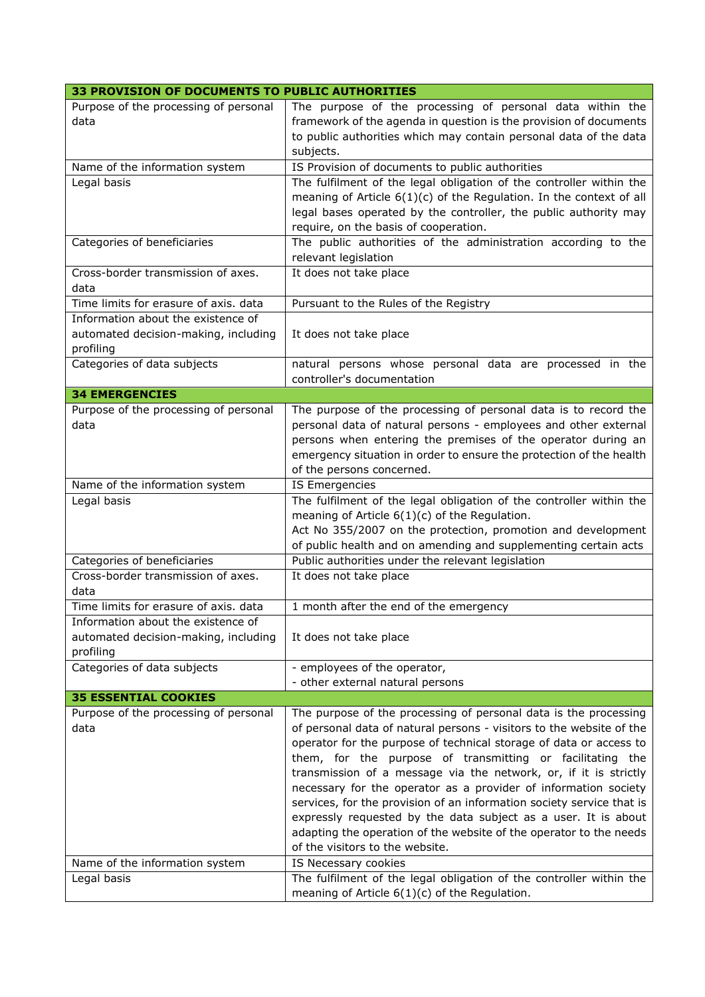| 33 PROVISION OF DOCUMENTS TO PUBLIC AUTHORITIES                                         |                                                                                                                                                                                                                                                                                                                                                                                                                                                                                                                                                                                                                                                                        |
|-----------------------------------------------------------------------------------------|------------------------------------------------------------------------------------------------------------------------------------------------------------------------------------------------------------------------------------------------------------------------------------------------------------------------------------------------------------------------------------------------------------------------------------------------------------------------------------------------------------------------------------------------------------------------------------------------------------------------------------------------------------------------|
| Purpose of the processing of personal<br>data                                           | The purpose of the processing of personal data within the<br>framework of the agenda in question is the provision of documents<br>to public authorities which may contain personal data of the data<br>subjects.                                                                                                                                                                                                                                                                                                                                                                                                                                                       |
| Name of the information system                                                          | IS Provision of documents to public authorities                                                                                                                                                                                                                                                                                                                                                                                                                                                                                                                                                                                                                        |
| Legal basis                                                                             | The fulfilment of the legal obligation of the controller within the<br>meaning of Article $6(1)(c)$ of the Regulation. In the context of all<br>legal bases operated by the controller, the public authority may<br>require, on the basis of cooperation.                                                                                                                                                                                                                                                                                                                                                                                                              |
| Categories of beneficiaries                                                             | The public authorities of the administration according to the<br>relevant legislation                                                                                                                                                                                                                                                                                                                                                                                                                                                                                                                                                                                  |
| Cross-border transmission of axes.<br>data                                              | It does not take place                                                                                                                                                                                                                                                                                                                                                                                                                                                                                                                                                                                                                                                 |
| Time limits for erasure of axis. data                                                   | Pursuant to the Rules of the Registry                                                                                                                                                                                                                                                                                                                                                                                                                                                                                                                                                                                                                                  |
| Information about the existence of<br>automated decision-making, including<br>profiling | It does not take place                                                                                                                                                                                                                                                                                                                                                                                                                                                                                                                                                                                                                                                 |
| Categories of data subjects                                                             | natural persons whose personal data are processed in the<br>controller's documentation                                                                                                                                                                                                                                                                                                                                                                                                                                                                                                                                                                                 |
| <b>34 EMERGENCIES</b>                                                                   |                                                                                                                                                                                                                                                                                                                                                                                                                                                                                                                                                                                                                                                                        |
| Purpose of the processing of personal<br>data                                           | The purpose of the processing of personal data is to record the<br>personal data of natural persons - employees and other external<br>persons when entering the premises of the operator during an<br>emergency situation in order to ensure the protection of the health<br>of the persons concerned.                                                                                                                                                                                                                                                                                                                                                                 |
| Name of the information system                                                          | IS Emergencies                                                                                                                                                                                                                                                                                                                                                                                                                                                                                                                                                                                                                                                         |
| Legal basis                                                                             | The fulfilment of the legal obligation of the controller within the<br>meaning of Article $6(1)(c)$ of the Regulation.<br>Act No 355/2007 on the protection, promotion and development<br>of public health and on amending and supplementing certain acts                                                                                                                                                                                                                                                                                                                                                                                                              |
| Categories of beneficiaries                                                             | Public authorities under the relevant legislation                                                                                                                                                                                                                                                                                                                                                                                                                                                                                                                                                                                                                      |
| Cross-border transmission of axes.<br>data                                              | It does not take place                                                                                                                                                                                                                                                                                                                                                                                                                                                                                                                                                                                                                                                 |
| Time limits for erasure of axis. data                                                   | 1 month after the end of the emergency                                                                                                                                                                                                                                                                                                                                                                                                                                                                                                                                                                                                                                 |
| Information about the existence of<br>automated decision-making, including<br>profiling | It does not take place                                                                                                                                                                                                                                                                                                                                                                                                                                                                                                                                                                                                                                                 |
| Categories of data subjects                                                             | - employees of the operator,<br>- other external natural persons                                                                                                                                                                                                                                                                                                                                                                                                                                                                                                                                                                                                       |
| <b>35 ESSENTIAL COOKIES</b>                                                             |                                                                                                                                                                                                                                                                                                                                                                                                                                                                                                                                                                                                                                                                        |
| Purpose of the processing of personal<br>data                                           | The purpose of the processing of personal data is the processing<br>of personal data of natural persons - visitors to the website of the<br>operator for the purpose of technical storage of data or access to<br>them, for the purpose of transmitting or facilitating the<br>transmission of a message via the network, or, if it is strictly<br>necessary for the operator as a provider of information society<br>services, for the provision of an information society service that is<br>expressly requested by the data subject as a user. It is about<br>adapting the operation of the website of the operator to the needs<br>of the visitors to the website. |
| Name of the information system                                                          | IS Necessary cookies                                                                                                                                                                                                                                                                                                                                                                                                                                                                                                                                                                                                                                                   |
| Legal basis                                                                             | The fulfilment of the legal obligation of the controller within the<br>meaning of Article $6(1)(c)$ of the Regulation.                                                                                                                                                                                                                                                                                                                                                                                                                                                                                                                                                 |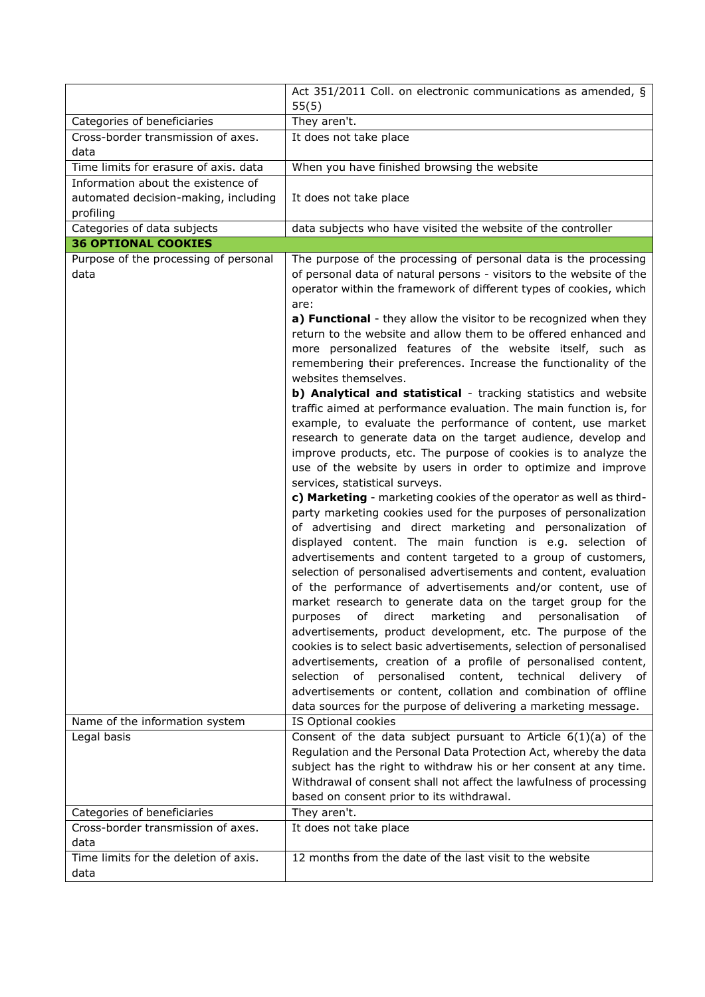|                                                                                                | Act 351/2011 Coll. on electronic communications as amended, §                                                                                                                                                                                                                                                                                                                                                                                                                                                                                                                                                                                                                                                                                                                                                                                                                                                                                                                                                                                                                                                                                                                                                                                                                                                                                                                                                                                                                                                                                                                                                                                                                                                                                                                                                                                                                                                                                                                                                                                                                                       |
|------------------------------------------------------------------------------------------------|-----------------------------------------------------------------------------------------------------------------------------------------------------------------------------------------------------------------------------------------------------------------------------------------------------------------------------------------------------------------------------------------------------------------------------------------------------------------------------------------------------------------------------------------------------------------------------------------------------------------------------------------------------------------------------------------------------------------------------------------------------------------------------------------------------------------------------------------------------------------------------------------------------------------------------------------------------------------------------------------------------------------------------------------------------------------------------------------------------------------------------------------------------------------------------------------------------------------------------------------------------------------------------------------------------------------------------------------------------------------------------------------------------------------------------------------------------------------------------------------------------------------------------------------------------------------------------------------------------------------------------------------------------------------------------------------------------------------------------------------------------------------------------------------------------------------------------------------------------------------------------------------------------------------------------------------------------------------------------------------------------------------------------------------------------------------------------------------------------|
| Categories of beneficiaries                                                                    | 55(5)<br>They aren't.                                                                                                                                                                                                                                                                                                                                                                                                                                                                                                                                                                                                                                                                                                                                                                                                                                                                                                                                                                                                                                                                                                                                                                                                                                                                                                                                                                                                                                                                                                                                                                                                                                                                                                                                                                                                                                                                                                                                                                                                                                                                               |
| Cross-border transmission of axes.                                                             | It does not take place                                                                                                                                                                                                                                                                                                                                                                                                                                                                                                                                                                                                                                                                                                                                                                                                                                                                                                                                                                                                                                                                                                                                                                                                                                                                                                                                                                                                                                                                                                                                                                                                                                                                                                                                                                                                                                                                                                                                                                                                                                                                              |
| data                                                                                           |                                                                                                                                                                                                                                                                                                                                                                                                                                                                                                                                                                                                                                                                                                                                                                                                                                                                                                                                                                                                                                                                                                                                                                                                                                                                                                                                                                                                                                                                                                                                                                                                                                                                                                                                                                                                                                                                                                                                                                                                                                                                                                     |
| Time limits for erasure of axis. data                                                          | When you have finished browsing the website                                                                                                                                                                                                                                                                                                                                                                                                                                                                                                                                                                                                                                                                                                                                                                                                                                                                                                                                                                                                                                                                                                                                                                                                                                                                                                                                                                                                                                                                                                                                                                                                                                                                                                                                                                                                                                                                                                                                                                                                                                                         |
| Information about the existence of                                                             |                                                                                                                                                                                                                                                                                                                                                                                                                                                                                                                                                                                                                                                                                                                                                                                                                                                                                                                                                                                                                                                                                                                                                                                                                                                                                                                                                                                                                                                                                                                                                                                                                                                                                                                                                                                                                                                                                                                                                                                                                                                                                                     |
| automated decision-making, including<br>profiling                                              | It does not take place                                                                                                                                                                                                                                                                                                                                                                                                                                                                                                                                                                                                                                                                                                                                                                                                                                                                                                                                                                                                                                                                                                                                                                                                                                                                                                                                                                                                                                                                                                                                                                                                                                                                                                                                                                                                                                                                                                                                                                                                                                                                              |
| Categories of data subjects                                                                    | data subjects who have visited the website of the controller                                                                                                                                                                                                                                                                                                                                                                                                                                                                                                                                                                                                                                                                                                                                                                                                                                                                                                                                                                                                                                                                                                                                                                                                                                                                                                                                                                                                                                                                                                                                                                                                                                                                                                                                                                                                                                                                                                                                                                                                                                        |
| <b>36 OPTIONAL COOKIES</b>                                                                     |                                                                                                                                                                                                                                                                                                                                                                                                                                                                                                                                                                                                                                                                                                                                                                                                                                                                                                                                                                                                                                                                                                                                                                                                                                                                                                                                                                                                                                                                                                                                                                                                                                                                                                                                                                                                                                                                                                                                                                                                                                                                                                     |
| Purpose of the processing of personal<br>data<br>Name of the information system<br>Legal basis | The purpose of the processing of personal data is the processing<br>of personal data of natural persons - visitors to the website of the<br>operator within the framework of different types of cookies, which<br>are:<br>a) Functional - they allow the visitor to be recognized when they<br>return to the website and allow them to be offered enhanced and<br>more personalized features of the website itself, such as<br>remembering their preferences. Increase the functionality of the<br>websites themselves.<br>b) Analytical and statistical - tracking statistics and website<br>traffic aimed at performance evaluation. The main function is, for<br>example, to evaluate the performance of content, use market<br>research to generate data on the target audience, develop and<br>improve products, etc. The purpose of cookies is to analyze the<br>use of the website by users in order to optimize and improve<br>services, statistical surveys.<br>c) Marketing - marketing cookies of the operator as well as third-<br>party marketing cookies used for the purposes of personalization<br>of advertising and direct marketing and personalization of<br>displayed content. The main function is e.g. selection of<br>advertisements and content targeted to a group of customers,<br>selection of personalised advertisements and content, evaluation<br>of the performance of advertisements and/or content, use of<br>market research to generate data on the target group for the<br>purposes<br>direct<br>marketing<br>and<br>personalisation<br>οf<br>of<br>advertisements, product development, etc. The purpose of the<br>cookies is to select basic advertisements, selection of personalised<br>advertisements, creation of a profile of personalised content,<br>of personalised content, technical<br>selection<br>delivery of<br>advertisements or content, collation and combination of offline<br>data sources for the purpose of delivering a marketing message.<br>IS Optional cookies<br>Consent of the data subject pursuant to Article $6(1)(a)$ of the |
|                                                                                                | Regulation and the Personal Data Protection Act, whereby the data<br>subject has the right to withdraw his or her consent at any time.                                                                                                                                                                                                                                                                                                                                                                                                                                                                                                                                                                                                                                                                                                                                                                                                                                                                                                                                                                                                                                                                                                                                                                                                                                                                                                                                                                                                                                                                                                                                                                                                                                                                                                                                                                                                                                                                                                                                                              |
|                                                                                                | Withdrawal of consent shall not affect the lawfulness of processing                                                                                                                                                                                                                                                                                                                                                                                                                                                                                                                                                                                                                                                                                                                                                                                                                                                                                                                                                                                                                                                                                                                                                                                                                                                                                                                                                                                                                                                                                                                                                                                                                                                                                                                                                                                                                                                                                                                                                                                                                                 |
| Categories of beneficiaries                                                                    | based on consent prior to its withdrawal.<br>They aren't.                                                                                                                                                                                                                                                                                                                                                                                                                                                                                                                                                                                                                                                                                                                                                                                                                                                                                                                                                                                                                                                                                                                                                                                                                                                                                                                                                                                                                                                                                                                                                                                                                                                                                                                                                                                                                                                                                                                                                                                                                                           |
| Cross-border transmission of axes.                                                             | It does not take place                                                                                                                                                                                                                                                                                                                                                                                                                                                                                                                                                                                                                                                                                                                                                                                                                                                                                                                                                                                                                                                                                                                                                                                                                                                                                                                                                                                                                                                                                                                                                                                                                                                                                                                                                                                                                                                                                                                                                                                                                                                                              |
| data                                                                                           |                                                                                                                                                                                                                                                                                                                                                                                                                                                                                                                                                                                                                                                                                                                                                                                                                                                                                                                                                                                                                                                                                                                                                                                                                                                                                                                                                                                                                                                                                                                                                                                                                                                                                                                                                                                                                                                                                                                                                                                                                                                                                                     |
| Time limits for the deletion of axis.                                                          | 12 months from the date of the last visit to the website                                                                                                                                                                                                                                                                                                                                                                                                                                                                                                                                                                                                                                                                                                                                                                                                                                                                                                                                                                                                                                                                                                                                                                                                                                                                                                                                                                                                                                                                                                                                                                                                                                                                                                                                                                                                                                                                                                                                                                                                                                            |
| data                                                                                           |                                                                                                                                                                                                                                                                                                                                                                                                                                                                                                                                                                                                                                                                                                                                                                                                                                                                                                                                                                                                                                                                                                                                                                                                                                                                                                                                                                                                                                                                                                                                                                                                                                                                                                                                                                                                                                                                                                                                                                                                                                                                                                     |